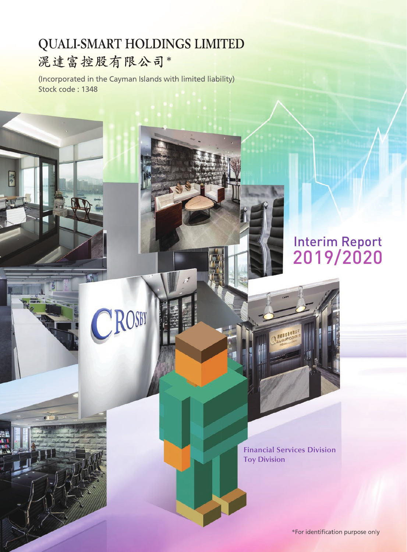# **QUALI-SMART HOLDINGS LIMITED** 滉達富控股有限公司\*

(Incorporated in the Cayman Islands with limited liability) Stock code: 1348

ROSBY

# Interim Report 2019/2020

**Financial Services Division Toy Division**

**ALLER**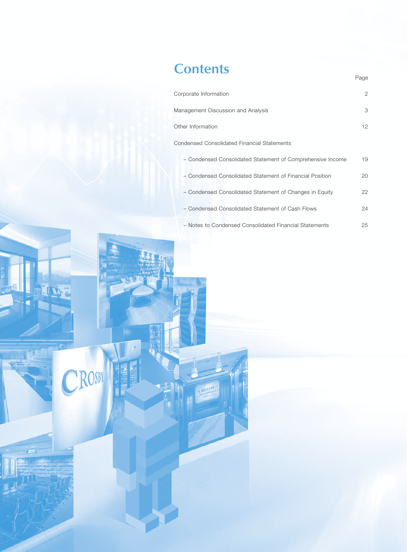## **Contents**

CROSBY

| Corporate Information                                      | 2  |
|------------------------------------------------------------|----|
| Management Discussion and Analysis                         | 3  |
| Other Information                                          | 12 |
| <b>Condensed Consolidated Financial Statements</b>         |    |
| - Condensed Consolidated Statement of Comprehensive Income | 19 |
| - Condensed Consolidated Statement of Financial Position   | 20 |
| - Condensed Consolidated Statement of Changes in Equity    | 22 |
| - Condensed Consolidated Statement of Cash Flows           | 24 |
| - Notes to Condensed Consolidated Financial Statements     | 25 |

Page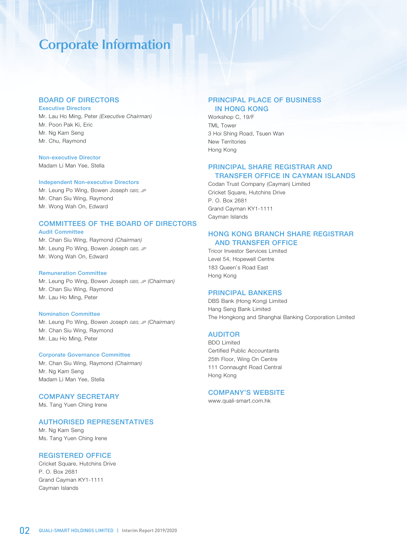## **Corporate Information**

## BOARD OF DIRECTORS

#### Executive Directors

Mr. Lau Ho Ming, Peter *(Executive Chairman)* Mr. Poon Pak Ki, Eric Mr. Ng Kam Seng Mr. Chu, Raymond

### Non-executive Director

Madam Li Man Yee, Stella

#### Independent Non-executive Directors

Mr. Leung Po Wing, Bowen Joseph *GBS, JP* Mr. Chan Siu Wing, Raymond Mr. Wong Wah On, Edward

## COMMITTEES OF THE BOARD OF DIRECTORS

#### Audit Committee

Mr. Chan Siu Wing, Raymond *(Chairman)* Mr. Leung Po Wing, Bowen Joseph *GBS, JP* Mr. Wong Wah On, Edward

#### Remuneration Committee

Mr. Leung Po Wing, Bowen Joseph *GBS, JP (Chairman)* Mr. Chan Siu Wing, Raymond Mr. Lau Ho Ming, Peter

#### Nomination Committee

Mr. Leung Po Wing, Bowen Joseph *GBS, JP (Chairman)* Mr. Chan Siu Wing, Raymond Mr. Lau Ho Ming, Peter

#### Corporate Governance Committee

Mr. Chan Siu Wing, Raymond *(Chairman)* Mr. Ng Kam Seng Madam Li Man Yee, Stella

## COMPANY SECRETARY

Ms. Tang Yuen Ching Irene

#### AUTHORISED REPRESENTATIVES

Mr. Ng Kam Seng Ms. Tang Yuen Ching Irene

## REGISTERED OFFICE

Cricket Square, Hutchins Drive P. O. Box 2681 Grand Cayman KY1-1111 Cayman Islands

## PRINCIPAL PLACE OF BUSINESS IN HONG KONG

Workshop C, 19/F TML Tower 3 Hoi Shing Road, Tsuen Wan New Territories Hong Kong

## PRINCIPAL SHARE REGISTRAR AND TRANSFER OFFICE IN CAYMAN ISLANDS

Codan Trust Company (Cayman) Limited Cricket Square, Hutchins Drive P. O. Box 2681 Grand Cayman KY1-1111 Cayman Islands

## HONG KONG BRANCH SHARE REGISTRAR AND TRANSFER OFFICE

Tricor Investor Services Limited Level 54, Hopewell Centre 183 Queen's Road East Hong Kong

### PRINCIPAL BANKERS

DBS Bank (Hong Kong) Limited Hang Seng Bank Limited The Hongkong and Shanghai Banking Corporation Limited

### AUDITOR

BDO Limited Certified Public Accountants 25th Floor, Wing On Centre 111 Connaught Road Central Hong Kong

## COMPANY'S WEBSITE

www.quali-smart.com.hk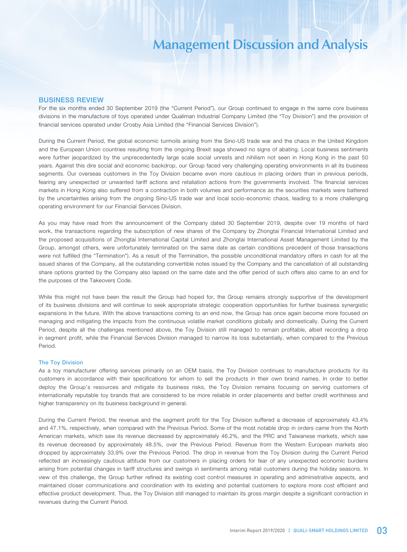### BUSINESS REVIEW

For the six months ended 30 September 2019 (the "Current Period"), our Group continued to engage in the same core business divisions in the manufacture of toys operated under Qualiman Industrial Company Limited (the "Toy Division") and the provision of financial services operated under Crosby Asia Limited (the "Financial Services Division").

During the Current Period, the global economic turmoils arising from the Sino-US trade war and the chaos in the United Kingdom and the European Union countries resulting from the ongoing Brexit saga showed no signs of abating. Local business sentiments were further jeopardized by the unprecedentedly large scale social unrests and nihilism not seen in Hong Kong in the past 50 years. Against this dire social and economic backdrop, our Group faced very challenging operating environments in all its business segments. Our overseas customers in the Toy Division became even more cautious in placing orders than in previous periods, fearing any unexpected or unwanted tariff actions and retaliation actions from the governments involved. The financial services markets in Hong Kong also suffered from a contraction in both volumes and performance as the securities markets were battered by the uncertainties arising from the ongoing Sino-US trade war and local socio-economic chaos, leading to a more challenging operating environment for our Financial Services Division.

As you may have read from the announcement of the Company dated 30 September 2019, despite over 19 months of hard work, the transactions regarding the subscription of new shares of the Company by Zhongtai Financial International Limited and the proposed acquisitions of Zhongtai International Capital Limited and Zhongtai International Asset Management Limited by the Group, amongst others, were unfortunately terminated on the same date as certain conditions precedent of those transactions were not fulfilled (the "Termination"). As a result of the Termination, the possible unconditional mandatory offers in cash for all the issued shares of the Company, all the outstanding convertible notes issued by the Company and the cancellation of all outstanding share options granted by the Company also lapsed on the same date and the offer period of such offers also came to an end for the purposes of the Takeovers Code.

While this might not have been the result the Group had hoped for, the Group remains strongly supportive of the development of its business divisions and will continue to seek appropriate strategic cooperation opportunities for further business synergistic expansions in the future. With the above transactions coming to an end now, the Group has once again become more focused on managing and mitigating the impacts from the continuous volatile market conditions globally and domestically. During the Current Period, despite all the challenges mentioned above, the Toy Division still managed to remain profitable, albeit recording a drop in segment profit, while the Financial Services Division managed to narrow its loss substantially, when compared to the Previous Period.

#### The Toy Division

As a toy manufacturer offering services primarily on an OEM basis, the Toy Division continues to manufacture products for its customers in accordance with their specifications for whom to sell the products in their own brand names. In order to better deploy the Group's resources and mitigate its business risks, the Toy Division remains focusing on serving customers of internationally reputable toy brands that are considered to be more reliable in order placements and better credit worthiness and higher transparency on its business background in general.

During the Current Period, the revenue and the segment profit for the Toy Division suffered a decrease of approximately 43.4% and 47.1%, respectively, when compared with the Previous Period. Some of the most notable drop in orders came from the North American markets, which saw its revenue decreased by approximately 46.2%, and the PRC and Taiwanese markets, which saw its revenue decreased by approximately 48.5%, over the Previous Period. Revenue from the Western European markets also dropped by approximately 33.9% over the Previous Period. The drop in revenue from the Toy Division during the Current Period reflected an increasingly cautious attitude from our customers in placing orders for fear of any unexpected economic burdens arising from potential changes in tariff structures and swings in sentiments among retail customers during the holiday seasons. In view of this challenge, the Group further refined its existing cost control measures in operating and administrative aspects, and maintained closer communications and coordination with its existing and potential customers to explore more cost efficient and effective product development. Thus, the Toy Division still managed to maintain its gross margin despite a significant contraction in revenues during the Current Period.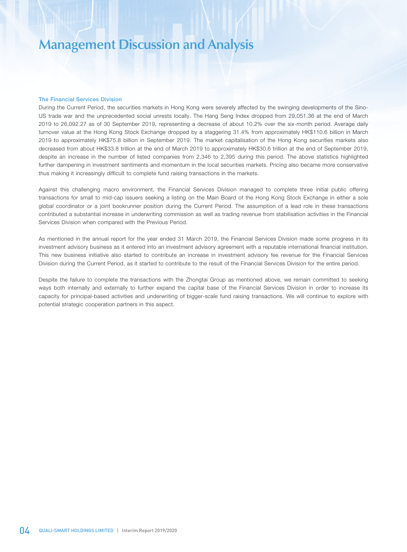#### The Financial Services Division

During the Current Period, the securities markets in Hong Kong were severely affected by the swinging developments of the Sino-US trade war and the unprecedented social unrests locally. The Hang Seng Index dropped from 29,051.36 at the end of March 2019 to 26,092.27 as of 30 September 2019, representing a decrease of about 10.2% over the six-month period. Average daily turnover value at the Hong Kong Stock Exchange dropped by a staggering 31.4% from approximately HK\$110.6 billion in March 2019 to approximately HK\$75.8 billion in September 2019. The market capitalisation of the Hong Kong securities markets also decreased from about HK\$33.8 trillion at the end of March 2019 to approximately HK\$30.6 trillion at the end of September 2019, despite an increase in the number of listed companies from 2,346 to 2,395 during this period. The above statistics highlighted further dampening in investment sentiments and momentum in the local securities markets. Pricing also became more conservative thus making it increasingly difficult to complete fund raising transactions in the markets.

Against this challenging macro environment, the Financial Services Division managed to complete three initial public offering transactions for small to mid-cap issuers seeking a listing on the Main Board of the Hong Kong Stock Exchange in either a sole global coordinator or a joint bookrunner position during the Current Period. The assumption of a lead role in these transactions contributed a substantial increase in underwriting commission as well as trading revenue from stabilisation activities in the Financial Services Division when compared with the Previous Period.

As mentioned in the annual report for the year ended 31 March 2019, the Financial Services Division made some progress in its investment advisory business as it entered into an investment advisory agreement with a reputable international financial institution. This new business initiative also started to contribute an increase in investment advisory fee revenue for the Financial Services Division during the Current Period, as it started to contribute to the result of the Financial Services Division for the entire period.

Despite the failure to complete the transactions with the Zhongtai Group as mentioned above, we remain committed to seeking ways both internally and externally to further expand the capital base of the Financial Services Division in order to increase its capacity for principal-based activities and underwriting of bigger-scale fund raising transactions. We will continue to explore with potential strategic cooperation partners in this aspect.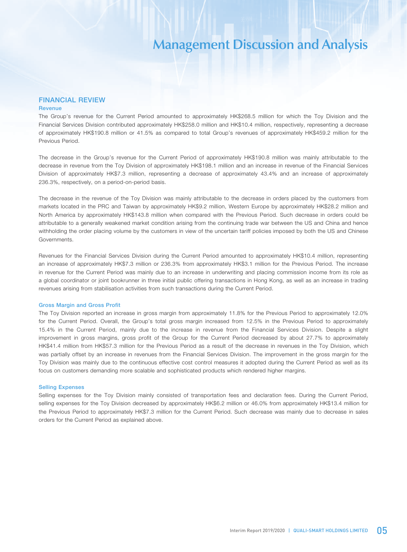#### FINANCIAL REVIEW **Revenue**

The Group's revenue for the Current Period amounted to approximately HK\$268.5 million for which the Toy Division and the Financial Services Division contributed approximately HK\$258.0 million and HK\$10.4 million, respectively, representing a decrease of approximately HK\$190.8 million or 41.5% as compared to total Group's revenues of approximately HK\$459.2 million for the Previous Period.

The decrease in the Group's revenue for the Current Period of approximately HK\$190.8 million was mainly attributable to the decrease in revenue from the Toy Division of approximately HK\$198.1 million and an increase in revenue of the Financial Services Division of approximately HK\$7.3 million, representing a decrease of approximately 43.4% and an increase of approximately 236.3%, respectively, on a period-on-period basis.

The decrease in the revenue of the Toy Division was mainly attributable to the decrease in orders placed by the customers from markets located in the PRC and Taiwan by approximately HK\$9.2 million, Western Europe by approximately HK\$28.2 million and North America by approximately HK\$143.8 million when compared with the Previous Period. Such decrease in orders could be attributable to a generally weakened market condition arising from the continuing trade war between the US and China and hence withholding the order placing volume by the customers in view of the uncertain tariff policies imposed by both the US and Chinese Governments.

Revenues for the Financial Services Division during the Current Period amounted to approximately HK\$10.4 million, representing an increase of approximately HK\$7.3 million or 236.3% from approximately HK\$3.1 million for the Previous Period. The increase in revenue for the Current Period was mainly due to an increase in underwriting and placing commission income from its role as a global coordinator or joint bookrunner in three initial public offering transactions in Hong Kong, as well as an increase in trading revenues arising from stabilisation activities from such transactions during the Current Period.

#### Gross Margin and Gross Profit

The Toy Division reported an increase in gross margin from approximately 11.8% for the Previous Period to approximately 12.0% for the Current Period. Overall, the Group's total gross margin increased from 12.5% in the Previous Period to approximately 15.4% in the Current Period, mainly due to the increase in revenue from the Financial Services Division. Despite a slight improvement in gross margins, gross profit of the Group for the Current Period decreased by about 27.7% to approximately HK\$41.4 million from HK\$57.3 million for the Previous Period as a result of the decrease in revenues in the Toy Division, which was partially offset by an increase in revenues from the Financial Services Division. The improvement in the gross margin for the Toy Division was mainly due to the continuous effective cost control measures it adopted during the Current Period as well as its focus on customers demanding more scalable and sophisticated products which rendered higher margins.

#### Selling Expenses

Selling expenses for the Toy Division mainly consisted of transportation fees and declaration fees. During the Current Period, selling expenses for the Toy Division decreased by approximately HK\$6.2 million or 46.0% from approximately HK\$13.4 million for the Previous Period to approximately HK\$7.3 million for the Current Period. Such decrease was mainly due to decrease in sales orders for the Current Period as explained above.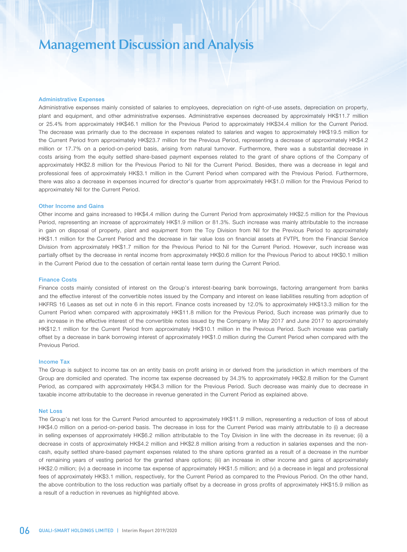#### Administrative Expenses

Administrative expenses mainly consisted of salaries to employees, depreciation on right-of-use assets, depreciation on property, plant and equipment, and other administrative expenses. Administrative expenses decreased by approximately HK\$11.7 million or 25.4% from approximately HK\$46.1 million for the Previous Period to approximately HK\$34.4 million for the Current Period. The decrease was primarily due to the decrease in expenses related to salaries and wages to approximately HK\$19.5 million for the Current Period from approximately HK\$23.7 million for the Previous Period, representing a decrease of approximately HK\$4.2 million or 17.7% on a period-on-period basis, arising from natural turnover. Furthermore, there was a substantial decrease in costs arising from the equity settled share-based payment expenses related to the grant of share options of the Company of approximately HK\$2.8 million for the Previous Period to Nil for the Current Period. Besides, there was a decrease in legal and professional fees of approximately HK\$3.1 million in the Current Period when compared with the Previous Period. Furthermore, there was also a decrease in expenses incurred for director's quarter from approximately HK\$1.0 million for the Previous Period to approximately Nil for the Current Period.

#### Other Income and Gains

Other income and gains increased to HK\$4.4 million during the Current Period from approximately HK\$2.5 million for the Previous Period, representing an increase of approximately HK\$1.9 million or 81.3%. Such increase was mainly attributable to the increase in gain on disposal of property, plant and equipment from the Toy Division from Nil for the Previous Period to approximately HK\$1.1 million for the Current Period and the decrease in fair value loss on financial assets at FVTPL from the Financial Service Division from approximately HK\$1.7 million for the Previous Period to Nil for the Current Period. However, such increase was partially offset by the decrease in rental income from approximately HK\$0.6 million for the Previous Period to about HK\$0.1 million in the Current Period due to the cessation of certain rental lease term during the Current Period.

#### Finance Costs

Finance costs mainly consisted of interest on the Group's interest-bearing bank borrowings, factoring arrangement from banks and the effective interest of the convertible notes issued by the Company and interest on lease liabilities resulting from adoption of HKFRS 16 Leases as set out in note 6 in this report. Finance costs increased by 12.0% to approximately HK\$13.3 million for the Current Period when compared with approximately HK\$11.8 million for the Previous Period, Such increase was primarily due to an increase in the effective interest of the convertible notes issued by the Company in May 2017 and June 2017 to approximately HK\$12.1 million for the Current Period from approximately HK\$10.1 million in the Previous Period. Such increase was partially offset by a decrease in bank borrowing interest of approximately HK\$1.0 million during the Current Period when compared with the Previous Period.

#### Income Tax

The Group is subject to income tax on an entity basis on profit arising in or derived from the jurisdiction in which members of the Group are domiciled and operated. The income tax expense decreased by 34.3% to approximately HK\$2.8 million for the Current Period, as compared with approximately HK\$4.3 million for the Previous Period. Such decrease was mainly due to decrease in taxable income attributable to the decrease in revenue generated in the Current Period as explained above.

#### Net Loss

The Group's net loss for the Current Period amounted to approximately HK\$11.9 million, representing a reduction of loss of about HK\$4.0 million on a period-on-period basis. The decrease in loss for the Current Period was mainly attributable to (i) a decrease in selling expenses of approximately HK\$6.2 million attributable to the Toy Division in line with the decrease in its revenue; (ii) a decrease in costs of approximately HK\$4.2 million and HK\$2.8 million arising from a reduction in salaries expenses and the noncash, equity settled share-based payment expenses related to the share options granted as a result of a decrease in the number of remaining years of vesting period for the granted share options; (iii) an increase in other income and gains of approximately HK\$2.0 million; (iv) a decrease in income tax expense of approximately HK\$1.5 million; and (v) a decrease in legal and professional fees of approximately HK\$3.1 million, respectively, for the Current Period as compared to the Previous Period. On the other hand, the above contribution to the loss reduction was partially offset by a decrease in gross profits of approximately HK\$15.9 million as a result of a reduction in revenues as highlighted above.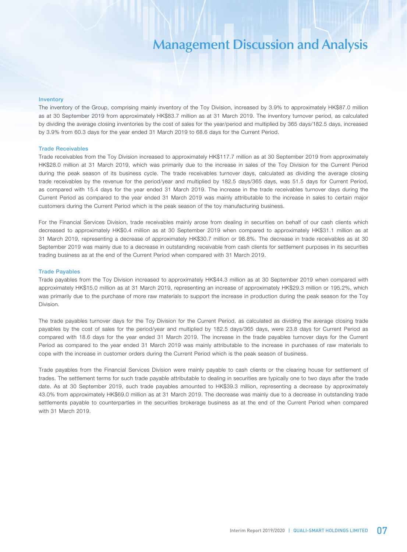#### Inventory

The inventory of the Group, comprising mainly inventory of the Toy Division, increased by 3.9% to approximately HK\$87.0 million as at 30 September 2019 from approximately HK\$83.7 million as at 31 March 2019. The inventory turnover period, as calculated by dividing the average closing inventories by the cost of sales for the year/period and multiplied by 365 days/182.5 days, increased by 3.9% from 60.3 days for the year ended 31 March 2019 to 68.6 days for the Current Period.

#### Trade Receivables

Trade receivables from the Toy Division increased to approximately HK\$117.7 million as at 30 September 2019 from approximately HK\$28.0 million at 31 March 2019, which was primarily due to the increase in sales of the Toy Division for the Current Period during the peak season of its business cycle. The trade receivables turnover days, calculated as dividing the average closing trade receivables by the revenue for the period/year and multiplied by 182.5 days/365 days, was 51.5 days for Current Period, as compared with 15.4 days for the year ended 31 March 2019. The increase in the trade receivables turnover days during the Current Period as compared to the year ended 31 March 2019 was mainly attributable to the increase in sales to certain major customers during the Current Period which is the peak season of the toy manufacturing business.

For the Financial Services Division, trade receivables mainly arose from dealing in securities on behalf of our cash clients which decreased to approximately HK\$0.4 million as at 30 September 2019 when compared to approximately HK\$31.1 million as at 31 March 2019, representing a decrease of approximately HK\$30.7 million or 98.8%. The decrease in trade receivables as at 30 September 2019 was mainly due to a decrease in outstanding receivable from cash clients for settlement purposes in its securities trading business as at the end of the Current Period when compared with 31 March 2019.

#### Trade Payables

Trade payables from the Toy Division increased to approximately HK\$44.3 million as at 30 September 2019 when compared with approximately HK\$15.0 million as at 31 March 2019, representing an increase of approximately HK\$29.3 million or 195.2%, which was primarily due to the purchase of more raw materials to support the increase in production during the peak season for the Toy Division.

The trade payables turnover days for the Toy Division for the Current Period, as calculated as dividing the average closing trade payables by the cost of sales for the period/year and multiplied by 182.5 days/365 days, were 23.8 days for Current Period as compared with 18.6 days for the year ended 31 March 2019. The increase in the trade payables turnover days for the Current Period as compared to the year ended 31 March 2019 was mainly attributable to the increase in purchases of raw materials to cope with the increase in customer orders during the Current Period which is the peak season of business.

Trade payables from the Financial Services Division were mainly payable to cash clients or the clearing house for settlement of trades. The settlement terms for such trade payable attributable to dealing in securities are typically one to two days after the trade date. As at 30 September 2019, such trade payables amounted to HK\$39.3 million, representing a decrease by approximately 43.0% from approximately HK\$69.0 million as at 31 March 2019. The decrease was mainly due to a decrease in outstanding trade settlements payable to counterparties in the securities brokerage business as at the end of the Current Period when compared with 31 March 2019.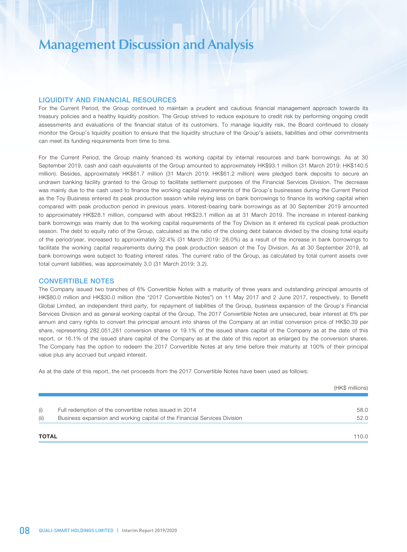### LIQUIDITY AND FINANCIAL RESOURCES

For the Current Period, the Group continued to maintain a prudent and cautious financial management approach towards its treasury policies and a healthy liquidity position. The Group strived to reduce exposure to credit risk by performing ongoing credit assessments and evaluations of the financial status of its customers. To manage liquidity risk, the Board continued to closely monitor the Group's liquidity position to ensure that the liquidity structure of the Group's assets, liabilities and other commitments can meet its funding requirements from time to time.

For the Current Period, the Group mainly financed its working capital by internal resources and bank borrowings. As at 30 September 2019, cash and cash equivalents of the Group amounted to approximately HK\$93.1 million (31 March 2019: HK\$140.5 million). Besides, approximately HK\$61.7 million (31 March 2019: HK\$61.2 million) were pledged bank deposits to secure an undrawn banking facility granted to the Group to facilitate settlement purposes of the Financial Services Division. The decrease was mainly due to the cash used to finance the working capital requirements of the Group's businesses during the Current Period as the Toy Business entered its peak production season while relying less on bank borrowings to finance its working capital when compared with peak production period in previous years. Interest-bearing bank borrowings as at 30 September 2019 amounted to approximately HK\$28.1 million, compared with about HK\$23.1 million as at 31 March 2019. The increase in interest-banking bank borrowings was mainly due to the working capital requirements of the Toy Division as it entered its cyclical peak production season. The debt to equity ratio of the Group, calculated as the ratio of the closing debt balance divided by the closing total equity of the period/year, increased to approximately 32.4% (31 March 2019: 28.0%) as a result of the increase in bank borrowings to facilitate the working capital requirements during the peak production season of the Toy Division. As at 30 September 2019, all bank borrowings were subject to floating interest rates. The current ratio of the Group, as calculated by total current assets over total current liabilities, was approximately 3.0 (31 March 2019: 3.2).

#### CONVERTIBLE NOTES

The Company issued two tranches of 6% Convertible Notes with a maturity of three years and outstanding principal amounts of HK\$80.0 million and HK\$30.0 million (the "2017 Convertible Notes") on 11 May 2017 and 2 June 2017, respectively, to Benefit Global Limited, an independent third party, for repayment of liabilities of the Group, business expansion of the Group's Financial Services Division and as general working capital of the Group. The 2017 Convertible Notes are unsecured, bear interest at 6% per annum and carry rights to convert the principal amount into shares of the Company at an initial conversion price of HK\$0.39 per share, representing 282,051,281 conversion shares or 19.1% of the issued share capital of the Company as at the date of this report, or 16.1% of the issued share capital of the Company as at the date of this report as enlarged by the conversion shares. The Company has the option to redeem the 2017 Convertible Notes at any time before their maturity at 100% of their principal value plus any accrued but unpaid interest.

As at the date of this report, the net proceeds from the 2017 Convertible Notes have been used as follows:

| <b>TOTAL</b> |                                                                           | 110.0           |
|--------------|---------------------------------------------------------------------------|-----------------|
| (ii)         | Business expansion and working capital of the Financial Services Division | 52.0            |
| (i)          | Full redemption of the convertible notes issued in 2014                   | 58.0            |
|              |                                                                           |                 |
|              |                                                                           | (HK\$ millions) |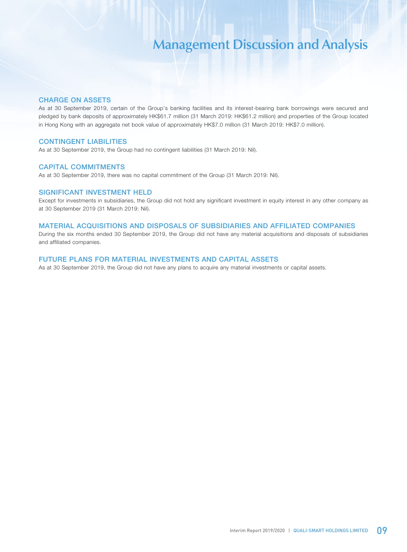### CHARGE ON ASSETS

As at 30 September 2019, certain of the Group's banking facilities and its interest-bearing bank borrowings were secured and pledged by bank deposits of approximately HK\$61.7 million (31 March 2019: HK\$61.2 million) and properties of the Group located in Hong Kong with an aggregate net book value of approximately HK\$7.0 million (31 March 2019: HK\$7.0 million).

## CONTINGENT LIABILITIES

As at 30 September 2019, the Group had no contingent liabilities (31 March 2019: Nil).

### CAPITAL COMMITMENTS

As at 30 September 2019, there was no capital commitment of the Group (31 March 2019: Nil).

### SIGNIFICANT INVESTMENT HELD

Except for investments in subsidiaries, the Group did not hold any significant investment in equity interest in any other company as at 30 September 2019 (31 March 2019: Nil).

### MATERIAL ACQUISITIONS AND DISPOSALS OF SUBSIDIARIES AND AFFILIATED COMPANIES

During the six months ended 30 September 2019, the Group did not have any material acquisitions and disposals of subsidiaries and affiliated companies.

### FUTURE PLANS FOR MATERIAL INVESTMENTS AND CAPITAL ASSETS

As at 30 September 2019, the Group did not have any plans to acquire any material investments or capital assets.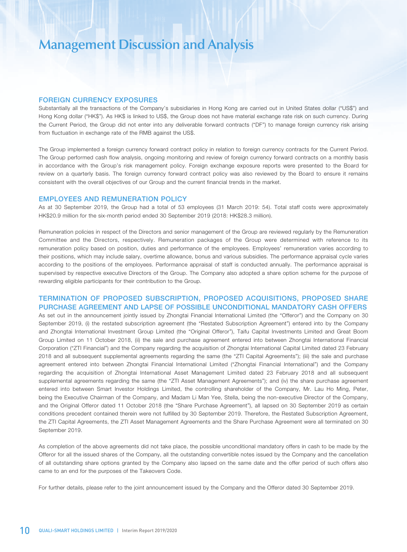### FOREIGN CURRENCY EXPOSURES

Substantially all the transactions of the Company's subsidiaries in Hong Kong are carried out in United States dollar ("US\$") and Hong Kong dollar ("HK\$"). As HK\$ is linked to US\$, the Group does not have material exchange rate risk on such currency. During the Current Period, the Group did not enter into any deliverable forward contracts ("DF") to manage foreign currency risk arising from fluctuation in exchange rate of the RMB against the US\$.

The Group implemented a foreign currency forward contract policy in relation to foreign currency contracts for the Current Period. The Group performed cash flow analysis, ongoing monitoring and review of foreign currency forward contracts on a monthly basis in accordance with the Group's risk management policy. Foreign exchange exposure reports were presented to the Board for review on a quarterly basis. The foreign currency forward contract policy was also reviewed by the Board to ensure it remains consistent with the overall objectives of our Group and the current financial trends in the market.

#### EMPLOYEES AND REMUNERATION POLICY

As at 30 September 2019, the Group had a total of 53 employees (31 March 2019: 54). Total staff costs were approximately HK\$20.9 million for the six-month period ended 30 September 2019 (2018: HK\$28.3 million).

Remuneration policies in respect of the Directors and senior management of the Group are reviewed regularly by the Remuneration Committee and the Directors, respectively. Remuneration packages of the Group were determined with reference to its remuneration policy based on position, duties and performance of the employees. Employees' remuneration varies according to their positions, which may include salary, overtime allowance, bonus and various subsidies. The performance appraisal cycle varies according to the positions of the employees. Performance appraisal of staff is conducted annually. The performance appraisal is supervised by respective executive Directors of the Group. The Company also adopted a share option scheme for the purpose of rewarding eligible participants for their contribution to the Group.

## TERMINATION OF PROPOSED SUBSCRIPTION, PROPOSED ACQUISITIONS, PROPOSED SHARE PURCHASE AGREEMENT AND LAPSE OF POSSIBLE UNCONDITIONAL MANDATORY CASH OFFERS

As set out in the announcement jointly issued by Zhongtai Financial International Limited (the "Offeror") and the Company on 30 September 2019, (i) the restated subscription agreement (the "Restated Subscription Agreement") entered into by the Company and Zhongtai International Investment Group Limited (the "Original Offeror"), Taifu Capital Investments Limited and Great Boom Group Limited on 11 October 2018, (ii) the sale and purchase agreement entered into between Zhongtai International Financial Corporation ("ZTI Financial") and the Company regarding the acquisition of Zhongtai International Capital Limited dated 23 February 2018 and all subsequent supplemental agreements regarding the same (the "ZTI Capital Agreements"); (iii) the sale and purchase agreement entered into between Zhongtai Financial International Limited ("Zhongtai Financial International") and the Company regarding the acquisition of Zhongtai International Asset Management Limited dated 23 February 2018 and all subsequent supplemental agreements regarding the same (the "ZTI Asset Management Agreements"); and (iv) the share purchase agreement entered into between Smart Investor Holdings Limited, the controlling shareholder of the Company, Mr. Lau Ho Ming, Peter, being the Executive Chairman of the Company, and Madam Li Man Yee, Stella, being the non-executive Director of the Company, and the Original Offeror dated 11 October 2018 (the "Share Purchase Agreement"), all lapsed on 30 September 2019 as certain conditions precedent contained therein were not fulfilled by 30 September 2019. Therefore, the Restated Subscription Agreement, the ZTI Capital Agreements, the ZTI Asset Management Agreements and the Share Purchase Agreement were all terminated on 30 September 2019.

As completion of the above agreements did not take place, the possible unconditional mandatory offers in cash to be made by the Offeror for all the issued shares of the Company, all the outstanding convertible notes issued by the Company and the cancellation of all outstanding share options granted by the Company also lapsed on the same date and the offer period of such offers also came to an end for the purposes of the Takeovers Code.

For further details, please refer to the joint announcement issued by the Company and the Offeror dated 30 September 2019.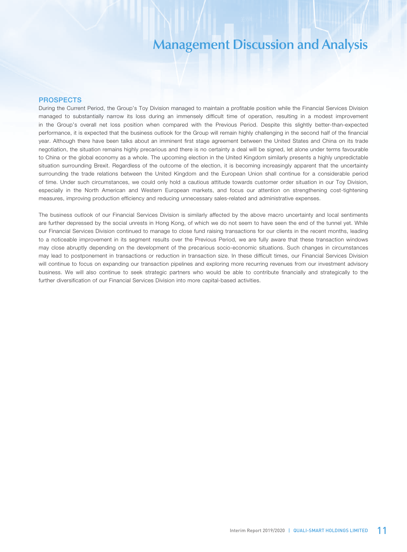## PROSPECTS

During the Current Period, the Group's Toy Division managed to maintain a profitable position while the Financial Services Division managed to substantially narrow its loss during an immensely difficult time of operation, resulting in a modest improvement in the Group's overall net loss position when compared with the Previous Period. Despite this slightly better-than-expected performance, it is expected that the business outlook for the Group will remain highly challenging in the second half of the financial year. Although there have been talks about an imminent first stage agreement between the United States and China on its trade negotiation, the situation remains highly precarious and there is no certainty a deal will be signed, let alone under terms favourable to China or the global economy as a whole. The upcoming election in the United Kingdom similarly presents a highly unpredictable situation surrounding Brexit. Regardless of the outcome of the election, it is becoming increasingly apparent that the uncertainty surrounding the trade relations between the United Kingdom and the European Union shall continue for a considerable period of time. Under such circumstances, we could only hold a cautious attitude towards customer order situation in our Toy Division, especially in the North American and Western European markets, and focus our attention on strengthening cost-tightening measures, improving production efficiency and reducing unnecessary sales-related and administrative expenses.

The business outlook of our Financial Services Division is similarly affected by the above macro uncertainty and local sentiments are further depressed by the social unrests in Hong Kong, of which we do not seem to have seen the end of the tunnel yet. While our Financial Services Division continued to manage to close fund raising transactions for our clients in the recent months, leading to a noticeable improvement in its segment results over the Previous Period, we are fully aware that these transaction windows may close abruptly depending on the development of the precarious socio-economic situations. Such changes in circumstances may lead to postponement in transactions or reduction in transaction size. In these difficult times, our Financial Services Division will continue to focus on expanding our transaction pipelines and exploring more recurring revenues from our investment advisory business. We will also continue to seek strategic partners who would be able to contribute financially and strategically to the further diversification of our Financial Services Division into more capital-based activities.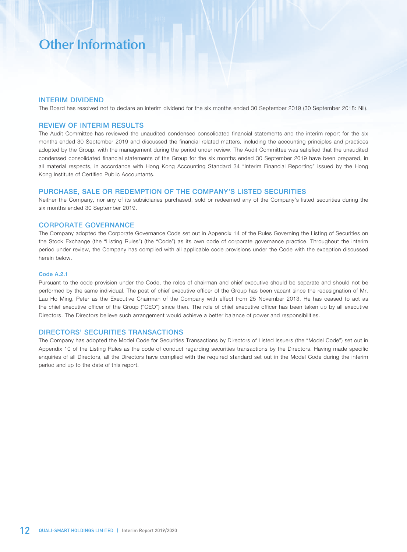### INTERIM DIVIDEND

The Board has resolved not to declare an interim dividend for the six months ended 30 September 2019 (30 September 2018: Nil).

### REVIEW OF INTERIM RESULTS

The Audit Committee has reviewed the unaudited condensed consolidated financial statements and the interim report for the six months ended 30 September 2019 and discussed the financial related matters, including the accounting principles and practices adopted by the Group, with the management during the period under review. The Audit Committee was satisfied that the unaudited condensed consolidated financial statements of the Group for the six months ended 30 September 2019 have been prepared, in all material respects, in accordance with Hong Kong Accounting Standard 34 "Interim Financial Reporting" issued by the Hong Kong Institute of Certified Public Accountants.

### PURCHASE, SALE OR REDEMPTION OF THE COMPANY'S LISTED SECURITIES

Neither the Company, nor any of its subsidiaries purchased, sold or redeemed any of the Company's listed securities during the six months ended 30 September 2019.

### CORPORATE GOVERNANCE

The Company adopted the Corporate Governance Code set out in Appendix 14 of the Rules Governing the Listing of Securities on the Stock Exchange (the "Listing Rules") (the "Code") as its own code of corporate governance practice. Throughout the interim period under review, the Company has complied with all applicable code provisions under the Code with the exception discussed herein below.

#### Code A.2.1

Pursuant to the code provision under the Code, the roles of chairman and chief executive should be separate and should not be performed by the same individual. The post of chief executive officer of the Group has been vacant since the redesignation of Mr. Lau Ho Ming, Peter as the Executive Chairman of the Company with effect from 25 November 2013. He has ceased to act as the chief executive officer of the Group ("CEO") since then. The role of chief executive officer has been taken up by all executive Directors. The Directors believe such arrangement would achieve a better balance of power and responsibilities.

#### DIRECTORS' SECURITIES TRANSACTIONS

The Company has adopted the Model Code for Securities Transactions by Directors of Listed Issuers (the "Model Code") set out in Appendix 10 of the Listing Rules as the code of conduct regarding securities transactions by the Directors. Having made specific enquiries of all Directors, all the Directors have complied with the required standard set out in the Model Code during the interim period and up to the date of this report.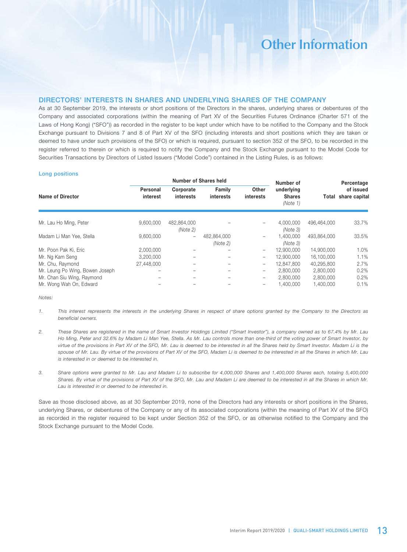## DIRECTORS' INTERESTS IN SHARES AND UNDERLYING SHARES OF THE COMPANY

As at 30 September 2019, the interests or short positions of the Directors in the shares, underlying shares or debentures of the Company and associated corporations (within the meaning of Part XV of the Securities Futures Ordinance (Charter 571 of the Laws of Hong Kong) ("SFO")) as recorded in the register to be kept under which have to be notified to the Company and the Stock Exchange pursuant to Divisions 7 and 8 of Part XV of the SFO (including interests and short positions which they are taken or deemed to have under such provisions of the SFO) or which is required, pursuant to section 352 of the SFO, to be recorded in the register referred to therein or which is required to notify the Company and the Stock Exchange pursuant to the Model Code for Securities Transactions by Directors of Listed Issuers ("Model Code") contained in the Listing Rules, is as follows:

#### Long positions

|                                 |                      |                                                                     | Number of Shares held   | Number of                               |                       | Percentage                       |       |
|---------------------------------|----------------------|---------------------------------------------------------------------|-------------------------|-----------------------------------------|-----------------------|----------------------------------|-------|
| Name of Director                | Personal<br>interest | Other<br>Family<br>Corporate<br>interests<br>interests<br>interests |                         | underlying<br><b>Shares</b><br>(Note 1) |                       | of issued<br>Total share capital |       |
| Mr. Lau Ho Ming, Peter          | 9,600,000            | 482,864,000<br>(Note 2)                                             |                         |                                         | 4.000.000<br>(Note 3) | 496.464.000                      | 33.7% |
| Madam Li Man Yee, Stella        | 9,600,000            | $\overline{\phantom{0}}$                                            | 482,864,000<br>(Note 2) |                                         | 1.400.000<br>(Note 3) | 493,864,000                      | 33.5% |
| Mr. Poon Pak Ki, Eric           | 2,000,000            |                                                                     |                         | -                                       | 12.900.000            | 14.900.000                       | 1.0%  |
| Mr. Ng Kam Seng                 | 3,200,000            |                                                                     |                         | -                                       | 12,900,000            | 16.100.000                       | 1.1%  |
| Mr. Chu, Raymond                | 27.448.000           |                                                                     |                         | -                                       | 12,847,800            | 40,295,800                       | 2.7%  |
| Mr. Leung Po Wing, Bowen Joseph |                      |                                                                     |                         | -                                       | 2.800.000             | 2,800,000                        | 0.2%  |
| Mr. Chan Siu Wing, Raymond      |                      |                                                                     |                         |                                         | 2.800.000             | 2,800,000                        | 0.2%  |
| Mr. Wong Wah On, Edward         |                      |                                                                     |                         |                                         | 1.400.000             | 1.400.000                        | 0.1%  |

*Notes:*

- *1. This interest represents the interests in the underlying Shares in respect of share options granted by the Company to the Directors as beneficial owners.*
- *2. These Shares are registered in the name of Smart Investor Holdings Limited ("Smart Investor"), a company owned as to 67.4% by Mr. Lau Ho Ming, Peter and 32.6% by Madam Li Man Yee, Stella. As Mr. Lau controls more than one-third of the voting power of Smart Investor, by virtue of the provisions in Part XV of the SFO, Mr. Lau is deemed to be interested in all the Shares held by Smart Investor. Madam Li is the spouse of Mr. Lau. By virtue of the provisions of Part XV of the SFO, Madam Li is deemed to be interested in all the Shares in which Mr. Lau is interested in or deemed to be interested in.*
- *3. Share options were granted to Mr. Lau and Madam Li to subscribe for 4,000,000 Shares and 1,400,000 Shares each, totaling 5,400,000 Shares. By virtue of the provisions of Part XV of the SFO, Mr. Lau and Madam Li are deemed to be interested in all the Shares in which Mr. Lau is interested in or deemed to be interested in.*

Save as those disclosed above, as at 30 September 2019, none of the Directors had any interests or short positions in the Shares, underlying Shares, or debentures of the Company or any of its associated corporations (within the meaning of Part XV of the SFO) as recorded in the register required to be kept under Section 352 of the SFO, or as otherwise notified to the Company and the Stock Exchange pursuant to the Model Code.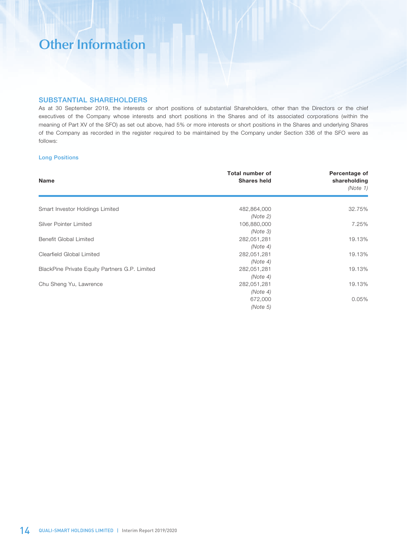## SUBSTANTIAL SHAREHOLDERS

As at 30 September 2019, the interests or short positions of substantial Shareholders, other than the Directors or the chief executives of the Company whose interests and short positions in the Shares and of its associated corporations (within the meaning of Part XV of the SFO) as set out above, had 5% or more interests or short positions in the Shares and underlying Shares of the Company as recorded in the register required to be maintained by the Company under Section 336 of the SFO were as follows:

## Long Positions

| Name                                           | <b>Total number of</b><br><b>Shares held</b> | Percentage of<br>shareholding<br>(Note 1) |
|------------------------------------------------|----------------------------------------------|-------------------------------------------|
| Smart Investor Holdings Limited                | 482,864,000                                  | 32.75%                                    |
|                                                | (Note 2)                                     |                                           |
| Silver Pointer Limited                         | 106,880,000                                  | 7.25%                                     |
|                                                | (Note 3)                                     |                                           |
| Benefit Global Limited                         | 282,051,281                                  | 19.13%                                    |
|                                                | (Note 4)                                     |                                           |
| Clearfield Global Limited                      | 282,051,281                                  | 19.13%                                    |
|                                                | (Note 4)                                     |                                           |
| BlackPine Private Equity Partners G.P. Limited | 282,051,281                                  | 19.13%                                    |
|                                                | (Note 4)                                     |                                           |
| Chu Sheng Yu, Lawrence                         | 282,051,281                                  | 19.13%                                    |
|                                                | (Note 4)                                     |                                           |
|                                                | 672,000                                      | 0.05%                                     |
|                                                | (Note 5)                                     |                                           |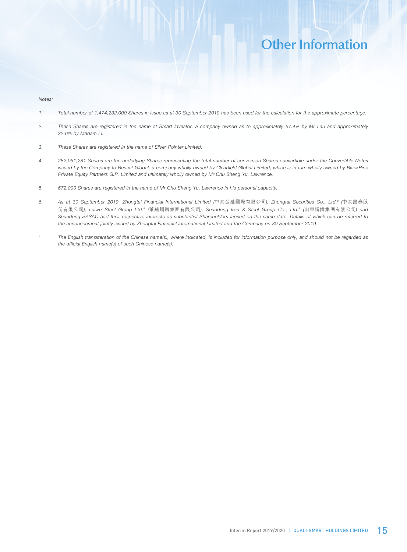*Notes:*

- *1. Total number of 1,474,232,000 Shares in issue as at 30 September 2019 has been used for the calculation for the approximate percentage.*
- *2. These Shares are registered in the name of Smart Investor, a company owned as to approximately 67.4% by Mr Lau and approximately 32.6% by Madam Li.*
- *3. These Shares are registered in the name of Silver Pointer Limited.*
- *4. 282,051,281 Shares are the underlying Shares representing the total number of conversion Shares convertible under the Convertible Notes*  issued by the Company to Benefit Global, a company wholly owned by Clearfield Global Limited, which is in turn wholly owned by BlackPine *Private Equity Partners G.P. Limited and ultimately wholly owned by Mr Chu Sheng Yu, Lawrence.*
- *5. 672,000 Shares are registered in the name of Mr Chu Sheng Yu, Lawrence in his personal capacity.*
- *6. As at 30 September 2019, Zhongtai Financial International Limited (*中泰金融國際有限公司*), Zhongtai Securities Co., Ltd.# (*中泰證券股 份有限公司*), Laiwu Steel Group Ltd.# (*萊蕪鋼鐵集團有限公司*), Shandong Iron & Steel Group Co., Ltd.# (*山東鋼鐵集團有限公司*) and Shandong SASAC had their respective interests as substantial Shareholders lapsed on the same date. Details of which can be referred to the announcement jointly issued by Zhongtai Financial International Limited and the Company on 30 September 2019.*
- *# The English transliteration of the Chinese name(s), where indicated, is included for information purpose only, and should not be regarded as the official English name(s) of such Chinese name(s).*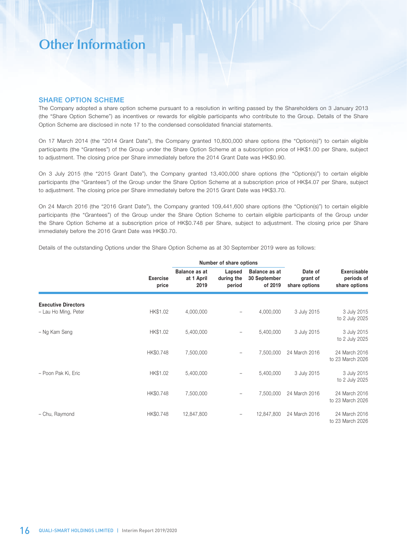## SHARE OPTION SCHEME

The Company adopted a share option scheme pursuant to a resolution in writing passed by the Shareholders on 3 January 2013 (the "Share Option Scheme") as incentives or rewards for eligible participants who contribute to the Group. Details of the Share Option Scheme are disclosed in note 17 to the condensed consolidated financial statements.

On 17 March 2014 (the "2014 Grant Date"), the Company granted 10,800,000 share options (the "Option(s)") to certain eligible participants (the "Grantees") of the Group under the Share Option Scheme at a subscription price of HK\$1.00 per Share, subject to adjustment. The closing price per Share immediately before the 2014 Grant Date was HK\$0.90.

On 3 July 2015 (the "2015 Grant Date"), the Company granted 13,400,000 share options (the "Option(s)") to certain eligible participants (the "Grantees") of the Group under the Share Option Scheme at a subscription price of HK\$4.07 per Share, subject to adjustment. The closing price per Share immediately before the 2015 Grant Date was HK\$3.70.

On 24 March 2016 (the "2016 Grant Date"), the Company granted 109,441,600 share options (the "Option(s)") to certain eligible participants (the "Grantees") of the Group under the Share Option Scheme to certain eligible participants of the Group under the Share Option Scheme at a subscription price of HK\$0.748 per Share, subject to adjustment. The closing price per Share immediately before the 2016 Grant Date was HK\$0.70.

|                                                    |                          |                                            | Number of share options        |                                          |                                      |                                                   |
|----------------------------------------------------|--------------------------|--------------------------------------------|--------------------------------|------------------------------------------|--------------------------------------|---------------------------------------------------|
|                                                    | <b>Exercise</b><br>price | <b>Balance as at</b><br>at 1 April<br>2019 | Lapsed<br>during the<br>period | Balance as at<br>30 September<br>of 2019 | Date of<br>grant of<br>share options | <b>Exercisable</b><br>periods of<br>share options |
| <b>Executive Directors</b><br>- Lau Ho Ming, Peter | HK\$1.02                 | 4,000,000                                  |                                | 4,000,000                                | 3 July 2015                          | 3 July 2015<br>to 2 July 2025                     |
| - Ng Kam Seng                                      | HK\$1.02                 | 5,400,000                                  |                                | 5,400,000                                | 3 July 2015                          | 3 July 2015<br>to 2 July 2025                     |
|                                                    | HK\$0.748                | 7,500,000                                  |                                | 7,500,000                                | 24 March 2016                        | 24 March 2016<br>to 23 March 2026                 |
| - Poon Pak Ki, Eric                                | HK\$1.02                 | 5,400,000                                  |                                | 5,400,000                                | 3 July 2015                          | 3 July 2015<br>to 2 July 2025                     |
|                                                    | HK\$0.748                | 7,500,000                                  |                                | 7,500,000                                | 24 March 2016                        | 24 March 2016<br>to 23 March 2026                 |
| - Chu, Raymond                                     | HK\$0.748                | 12,847,800                                 | -                              | 12,847,800                               | 24 March 2016                        | 24 March 2016<br>to 23 March 2026                 |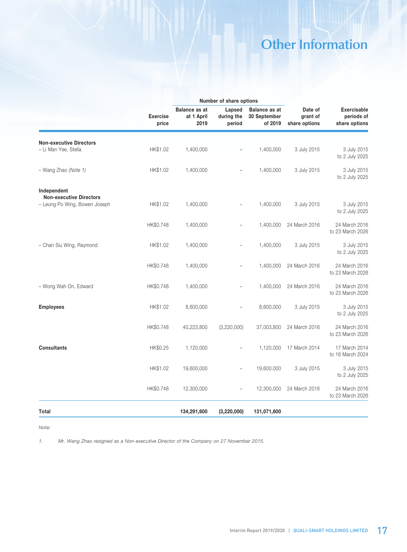| <b>Exercise</b><br>price | <b>Balance as at</b><br>at 1 April<br>2019 | Lapsed<br>during the<br>period | <b>Balance as at</b><br>30 September<br>of 2019 | Date of<br>grant of<br>share options | <b>Exercisable</b><br>periods of<br>share options |
|--------------------------|--------------------------------------------|--------------------------------|-------------------------------------------------|--------------------------------------|---------------------------------------------------|
|                          |                                            |                                |                                                 |                                      |                                                   |
| HK\$1.02                 | 1,400,000                                  |                                | 1,400,000                                       | 3 July 2015                          | 3 July 2015<br>to 2 July 2025                     |
| HK\$1.02                 | 1,400,000                                  |                                | 1,400,000                                       | 3 July 2015                          | 3 July 2015<br>to 2 July 2025                     |
|                          |                                            |                                |                                                 |                                      |                                                   |
| HK\$1.02                 | 1,400,000                                  |                                | 1,400,000                                       | 3 July 2015                          | 3 July 2015<br>to 2 July 2025                     |
| HK\$0.748                | 1,400,000                                  | -                              | 1,400,000                                       | 24 March 2016                        | 24 March 2016<br>to 23 March 2026                 |
| HK\$1.02                 | 1,400,000                                  | $\overline{\phantom{0}}$       | 1,400,000                                       | 3 July 2015                          | 3 July 2015<br>to 2 July 2025                     |
| HK\$0.748                | 1,400,000                                  |                                | 1,400,000                                       | 24 March 2016                        | 24 March 2016<br>to 23 March 2026                 |
| HK\$0.748                | 1,400,000                                  |                                | 1,400,000                                       | 24 March 2016                        | 24 March 2016<br>to 23 March 2026                 |
| HK\$1.02                 | 8,600,000                                  |                                | 8,600,000                                       | 3 July 2015                          | 3 July 2015<br>to 2 July 2025                     |
| HK\$0.748                | 40,223,800                                 | (3,220,000)                    | 37,003,800                                      | 24 March 2016                        | 24 March 2016<br>to 23 March 2026                 |
| HK\$0.25                 | 1,120,000                                  |                                | 1,120,000                                       | 17 March 2014                        | 17 March 2014<br>to 16 March 2024                 |
| HK\$1.02                 | 19,600,000                                 | $\overline{\phantom{0}}$       | 19,600,000                                      | 3 July 2015                          | 3 July 2015<br>to 2 July 2025                     |
| HK\$0.748                | 12,300,000                                 |                                | 12,300,000                                      | 24 March 2016                        | 24 March 2016<br>to 23 March 2026                 |
|                          | 134,291,600                                | (3, 220, 000)                  | 131,071,600                                     |                                      |                                                   |
|                          |                                            |                                |                                                 | Number of share options              |                                                   |

*Note:*

*1. Mr. Wang Zhao resigned as a Non-executive Director of the Company on 27 November 2015.*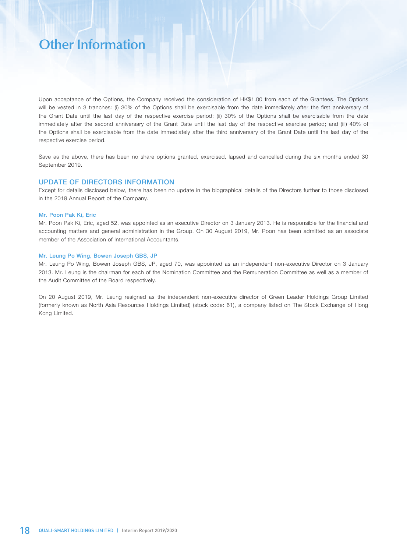Upon acceptance of the Options, the Company received the consideration of HK\$1.00 from each of the Grantees. The Options will be vested in 3 tranches: (i) 30% of the Options shall be exercisable from the date immediately after the first anniversary of the Grant Date until the last day of the respective exercise period; (ii) 30% of the Options shall be exercisable from the date immediately after the second anniversary of the Grant Date until the last day of the respective exercise period; and (iii) 40% of the Options shall be exercisable from the date immediately after the third anniversary of the Grant Date until the last day of the respective exercise period.

Save as the above, there has been no share options granted, exercised, lapsed and cancelled during the six months ended 30 September 2019.

### UPDATE OF DIRECTORS INFORMATION

Except for details disclosed below, there has been no update in the biographical details of the Directors further to those disclosed in the 2019 Annual Report of the Company.

#### Mr. Poon Pak Ki, Eric

Mr. Poon Pak Ki, Eric, aged 52, was appointed as an executive Director on 3 January 2013. He is responsible for the financial and accounting matters and general administration in the Group. On 30 August 2019, Mr. Poon has been admitted as an associate member of the Association of International Accountants.

#### Mr. Leung Po Wing, Bowen Joseph GBS, JP

Mr. Leung Po Wing, Bowen Joseph GBS, JP, aged 70, was appointed as an independent non-executive Director on 3 January 2013. Mr. Leung is the chairman for each of the Nomination Committee and the Remuneration Committee as well as a member of the Audit Committee of the Board respectively.

On 20 August 2019, Mr. Leung resigned as the independent non-executive director of Green Leader Holdings Group Limited (formerly known as North Asia Resources Holdings Limited) (stock code: 61), a company listed on The Stock Exchange of Hong Kong Limited.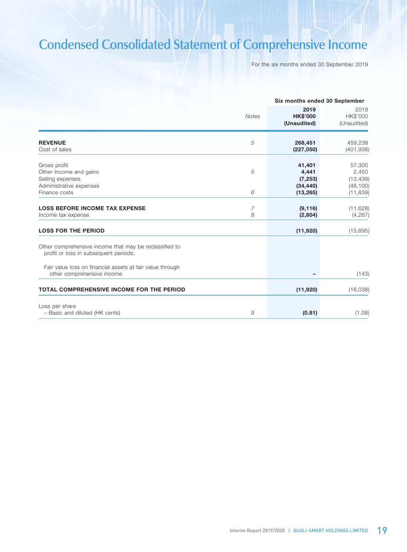# **Condensed Consolidated Statement of Comprehensive Income**

For the six months ended 30 September 2019

|                                                                                                 |              | Six months ended 30 September            |                                           |  |
|-------------------------------------------------------------------------------------------------|--------------|------------------------------------------|-------------------------------------------|--|
|                                                                                                 | <b>Notes</b> | 2019<br><b>HK\$'000</b><br>(Unaudited)   | 2018<br>HK\$'000<br>(Unaudited)           |  |
| <b>REVENUE</b><br>Cost of sales                                                                 | 5            | 268,451<br>(227,050)                     | 459,238<br>(401, 938)                     |  |
| Gross profit<br>Other income and gains<br>Selling expenses<br>Administrative expenses           | 5            | 41,401<br>4,441<br>(7, 253)<br>(34, 440) | 57,300<br>2,450<br>(13, 439)<br>(46, 100) |  |
| Finance costs                                                                                   | 6            | (13, 265)                                | (11, 839)                                 |  |
| <b>LOSS BEFORE INCOME TAX EXPENSE</b><br>Income tax expense                                     | 7<br>8       | (9, 116)<br>(2,804)                      | (11, 628)<br>(4, 267)                     |  |
| <b>LOSS FOR THE PERIOD</b>                                                                      |              | (11,920)                                 | (15, 895)                                 |  |
| Other comprehensive income that may be reclassified to<br>profit or loss in subsequent periods: |              |                                          |                                           |  |
| Fair value loss on financial assets at fair value through<br>other comprehensive income         |              |                                          | (143)                                     |  |
| <b>TOTAL COMPREHENSIVE INCOME FOR THE PERIOD</b>                                                |              | (11,920)                                 | (16,038)                                  |  |
| Loss per share<br>- Basic and diluted (HK cents)                                                | 9            | (0.81)                                   | (1.08)                                    |  |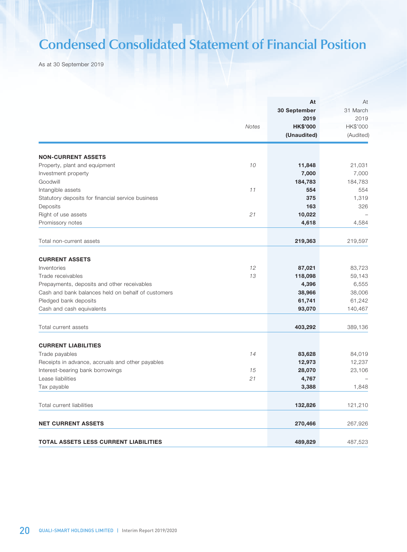# **Condensed Consolidated Statement of Financial Position**

As at 30 September 2019

|                                                    | <b>Notes</b> | At<br>30 September<br>2019<br><b>HK\$'000</b><br>(Unaudited) | At<br>31 March<br>2019<br>HK\$'000<br>(Audited) |
|----------------------------------------------------|--------------|--------------------------------------------------------------|-------------------------------------------------|
| <b>NON-CURRENT ASSETS</b>                          |              |                                                              |                                                 |
| Property, plant and equipment                      | 10           | 11,848                                                       | 21,031                                          |
| Investment property                                |              | 7,000                                                        | 7,000                                           |
| Goodwill                                           |              | 184,783                                                      | 184,783                                         |
| Intangible assets                                  | 11           | 554                                                          | 554                                             |
| Statutory deposits for financial service business  |              | 375                                                          | 1,319                                           |
| Deposits                                           |              | 163                                                          | 326                                             |
| Right of use assets                                | 21           | 10,022                                                       |                                                 |
| Promissory notes                                   |              | 4,618                                                        | 4,584                                           |
|                                                    |              |                                                              |                                                 |
| Total non-current assets                           |              | 219,363                                                      | 219,597                                         |
| <b>CURRENT ASSETS</b>                              |              |                                                              |                                                 |
| Inventories                                        | 12           | 87,021                                                       | 83,723                                          |
| Trade receivables                                  | 13           | 118,098                                                      | 59,143                                          |
| Prepayments, deposits and other receivables        |              | 4,396                                                        | 6,555                                           |
| Cash and bank balances held on behalf of customers |              | 38,966                                                       | 38,006                                          |
| Pledged bank deposits                              |              | 61,741                                                       | 61,242                                          |
| Cash and cash equivalents                          |              | 93,070                                                       | 140,467                                         |
| Total current assets                               |              | 403,292                                                      | 389,136                                         |
| <b>CURRENT LIABILITIES</b>                         |              |                                                              |                                                 |
| Trade payables                                     | 14           | 83,628                                                       | 84,019                                          |
| Receipts in advance, accruals and other payables   |              | 12,973                                                       | 12,237                                          |
| Interest-bearing bank borrowings                   | 15           | 28,070                                                       | 23,106                                          |
| Lease liabilities                                  | 21           | 4,767                                                        |                                                 |
| Tax payable                                        |              | 3,388                                                        | 1,848                                           |
| Total current liabilities                          |              | 132,826                                                      | 121,210                                         |
| <b>NET CURRENT ASSETS</b>                          |              | 270,466                                                      | 267,926                                         |
| TOTAL ASSETS LESS CURRENT LIABILITIES              |              | 489,829                                                      | 487,523                                         |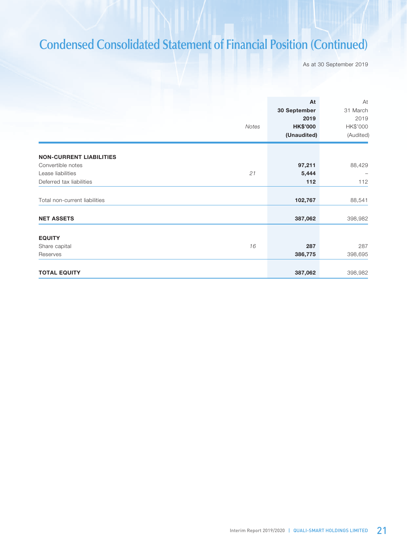# **Condensed Consolidated Statement of Financial Position (Continued)**

As at 30 September 2019

|                                                     | Notes | At<br>30 September<br>2019<br><b>HK\$'000</b><br>(Unaudited) | At<br>31 March<br>2019<br>HK\$'000<br>(Audited) |
|-----------------------------------------------------|-------|--------------------------------------------------------------|-------------------------------------------------|
|                                                     |       |                                                              |                                                 |
| <b>NON-CURRENT LIABILITIES</b><br>Convertible notes |       | 97,211                                                       | 88,429                                          |
| Lease liabilities                                   | 21    | 5,444                                                        |                                                 |
| Deferred tax liabilities                            |       | 112                                                          | 112                                             |
| Total non-current liabilities                       |       | 102,767                                                      | 88,541                                          |
| <b>NET ASSETS</b>                                   |       | 387,062                                                      | 398,982                                         |
|                                                     |       |                                                              |                                                 |
| <b>EQUITY</b>                                       |       |                                                              |                                                 |
| Share capital                                       | 16    | 287                                                          | 287                                             |
| Reserves                                            |       | 386,775                                                      | 398,695                                         |
|                                                     |       |                                                              |                                                 |
| <b>TOTAL EQUITY</b>                                 |       | 387,062                                                      | 398,982                                         |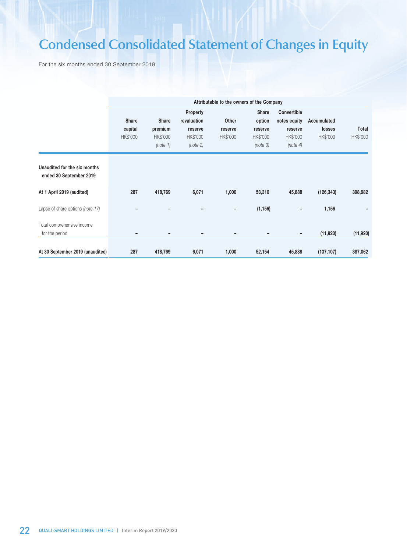# **Condensed Consolidated Statement of Changes in Equity**

For the six months ended 30 September 2019

|                                                         |                              | Attributable to the owners of the Company       |                                                            |                                     |                                                           |                                                                |                                   |                   |  |
|---------------------------------------------------------|------------------------------|-------------------------------------------------|------------------------------------------------------------|-------------------------------------|-----------------------------------------------------------|----------------------------------------------------------------|-----------------------------------|-------------------|--|
|                                                         | Share<br>capital<br>HK\$'000 | <b>Share</b><br>premium<br>HK\$'000<br>(note 1) | Property<br>revaluation<br>reserve<br>HK\$'000<br>(note 2) | Other<br>reserve<br><b>HK\$'000</b> | <b>Share</b><br>option<br>reserve<br>HK\$'000<br>(note 3) | Convertible<br>notes equity<br>reserve<br>HK\$'000<br>(note 4) | Accumulated<br>losses<br>HK\$'000 | Total<br>HK\$'000 |  |
| Unaudited for the six months<br>ended 30 September 2019 |                              |                                                 |                                                            |                                     |                                                           |                                                                |                                   |                   |  |
| At 1 April 2019 (audited)                               | 287                          | 418,769                                         | 6,071                                                      | 1,000                               | 53,310                                                    | 45,888                                                         | (126, 343)                        | 398,982           |  |
| Lapse of share options (note 17)                        |                              |                                                 |                                                            | $\overline{\phantom{a}}$            | (1, 156)                                                  | -                                                              | 1,156                             |                   |  |
| Total comprehensive income<br>for the period            |                              | ٠                                               | -                                                          | $\overline{\phantom{a}}$            |                                                           | $\overline{\phantom{0}}$                                       | (11, 920)                         | (11,920)          |  |
| At 30 September 2019 (unaudited)                        | 287                          | 418,769                                         | 6,071                                                      | 1,000                               | 52,154                                                    | 45,888                                                         | (137, 107)                        | 387,062           |  |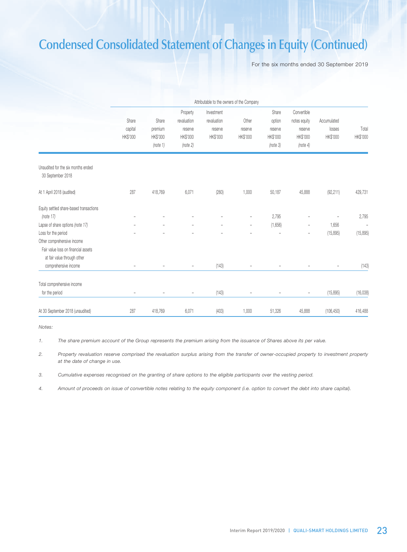# **Condensed Consolidated Statement of Changes in Equity (Continued)**

For the six months ended 30 September 2019

|                                         | Attributable to the owners of the Company |                   |                          |                          |                          |                          |                          |                          |                          |
|-----------------------------------------|-------------------------------------------|-------------------|--------------------------|--------------------------|--------------------------|--------------------------|--------------------------|--------------------------|--------------------------|
|                                         |                                           |                   | Property                 | Investment               |                          | Share                    | Convertible              |                          |                          |
|                                         | Share                                     | Share             | revaluation              | revaluation              | Other                    | option                   | notes equity             | Accumulated              |                          |
|                                         | capital                                   | premium           | reserve                  | reserve                  | reserve                  | reserve                  | reserve                  | losses                   | Total                    |
|                                         | HK\$'000                                  | HK\$'000          | HK\$'000                 | HK\$'000                 | HK\$'000                 | HK\$'000                 | HK\$'000                 | HK\$'000                 | HK\$'000                 |
|                                         |                                           | (note 1)          | (note 2)                 |                          |                          | (note 3)                 | (note 4)                 |                          |                          |
| Unaudited for the six months ended      |                                           |                   |                          |                          |                          |                          |                          |                          |                          |
| 30 September 2018                       |                                           |                   |                          |                          |                          |                          |                          |                          |                          |
| At 1 April 2018 (audited)               | 287                                       | 418,769           | 6,071                    | (260)                    | 1,000                    | 50,187                   | 45,888                   | (92, 211)                | 429,731                  |
| Equity settled share-based transactions |                                           |                   |                          |                          |                          |                          |                          |                          |                          |
| (note 17)                               |                                           | L                 | ۳                        | ۳                        | $\overline{\phantom{a}}$ | 2,795                    | L,                       | $\overline{\phantom{a}}$ | 2,795                    |
| Lapse of share options (note 17)        |                                           | $\qquad \qquad -$ | -                        | $\overline{\phantom{0}}$ | -                        | (1,656)                  | -                        | 1,656                    | $\overline{\phantom{a}}$ |
| Loss for the period                     |                                           | L,                | ۳                        | ۳                        | $\overline{\phantom{a}}$ | $\overline{\phantom{a}}$ | $\overline{\phantom{0}}$ | (15, 895)                | (15, 895)                |
| Other comprehensive income              |                                           |                   |                          |                          |                          |                          |                          |                          |                          |
| Fair value loss on financial assets     |                                           |                   |                          |                          |                          |                          |                          |                          |                          |
| at fair value through other             |                                           |                   |                          |                          |                          |                          |                          |                          |                          |
| comprehensive income                    | $\overline{\phantom{a}}$                  | $\overline{a}$    | $\overline{\phantom{a}}$ | (143)                    | $\overline{\phantom{0}}$ | $\overline{\phantom{a}}$ |                          | $\overline{\phantom{a}}$ | (143)                    |
| Total comprehensive income              |                                           |                   |                          |                          |                          |                          |                          |                          |                          |
| for the period                          |                                           |                   | ۳                        | (143)                    |                          |                          | L,                       | (15, 895)                | (16, 038)                |
| At 30 September 2018 (unaudited)        | 287                                       | 418,769           | 6,071                    | (403)                    | 1,000                    | 51,326                   | 45,888                   | (106, 450)               | 416,488                  |

*Notes:*

*1. The share premium account of the Group represents the premium arising from the issuance of Shares above its per value.*

*2. Property revaluation reserve comprised the revaluation surplus arising from the transfer of owner-occupied property to investment property at the date of change in use.*

*3. Cumulative expenses recognised on the granting of share options to the eligible participants over the vesting period.*

*4. Amount of proceeds on issue of convertible notes relating to the equity component (i.e. option to convert the debt into share capital).*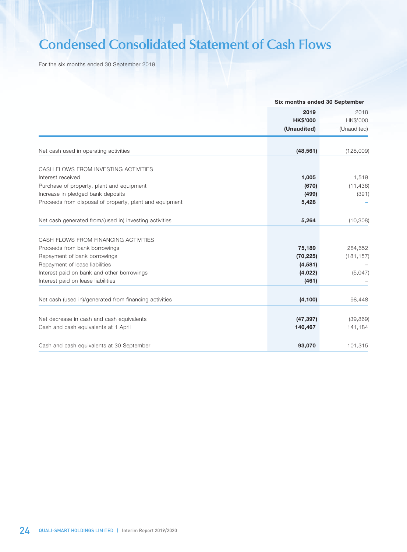# **Condensed Consolidated Statement of Cash Flows**

For the six months ended 30 September 2019

|                                                         |                 | Six months ended 30 September |  |
|---------------------------------------------------------|-----------------|-------------------------------|--|
|                                                         | 2019            | 2018                          |  |
|                                                         | <b>HK\$'000</b> | HK\$'000                      |  |
|                                                         | (Unaudited)     | (Unaudited)                   |  |
| Net cash used in operating activities                   | (48, 561)       | (128,009)                     |  |
|                                                         |                 |                               |  |
| CASH FLOWS FROM INVESTING ACTIVITIES                    |                 |                               |  |
| Interest received                                       | 1,005           | 1,519                         |  |
| Purchase of property, plant and equipment               | (670)           | (11, 436)                     |  |
| Increase in pledged bank deposits                       | (499)           | (391)                         |  |
| Proceeds from disposal of property, plant and equipment | 5,428           |                               |  |
| Net cash generated from/(used in) investing activities  | 5,264           | (10, 308)                     |  |
|                                                         |                 |                               |  |
| CASH FLOWS FROM FINANCING ACTIVITIES                    |                 |                               |  |
| Proceeds from bank borrowings                           | 75,189          | 284,652                       |  |
| Repayment of bank borrowings                            | (70, 225)       | (181, 157)                    |  |
| Repayment of lease liabilities                          | (4,581)         |                               |  |
| Interest paid on bank and other borrowings              | (4,022)         | (5,047)                       |  |
| Interest paid on lease liabilities                      | (461)           |                               |  |
|                                                         |                 |                               |  |
| Net cash (used in)/generated from financing activities  | (4, 100)        | 98,448                        |  |
|                                                         |                 |                               |  |
| Net decrease in cash and cash equivalents               | (47, 397)       | (39, 869)                     |  |
| Cash and cash equivalents at 1 April                    | 140,467         | 141,184                       |  |
|                                                         |                 |                               |  |
| Cash and cash equivalents at 30 September               | 93,070          | 101,315                       |  |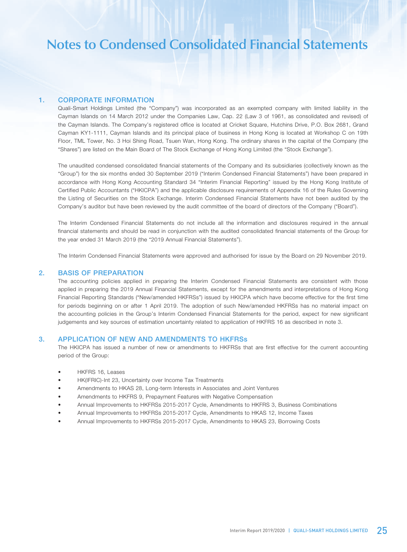### 1. CORPORATE INFORMATION

Quali-Smart Holdings Limited (the "Company") was incorporated as an exempted company with limited liability in the Cayman Islands on 14 March 2012 under the Companies Law, Cap. 22 (Law 3 of 1961, as consolidated and revised) of the Cayman Islands. The Company's registered office is located at Cricket Square, Hutchins Drive, P.O. Box 2681, Grand Cayman KY1-1111, Cayman Islands and its principal place of business in Hong Kong is located at Workshop C on 19th Floor, TML Tower, No. 3 Hoi Shing Road, Tsuen Wan, Hong Kong. The ordinary shares in the capital of the Company (the "Shares") are listed on the Main Board of The Stock Exchange of Hong Kong Limited (the "Stock Exchange").

The unaudited condensed consolidated financial statements of the Company and its subsidiaries (collectively known as the "Group") for the six months ended 30 September 2019 ("Interim Condensed Financial Statements") have been prepared in accordance with Hong Kong Accounting Standard 34 "Interim Financial Reporting" issued by the Hong Kong Institute of Certified Public Accountants ("HKICPA") and the applicable disclosure requirements of Appendix 16 of the Rules Governing the Listing of Securities on the Stock Exchange. Interim Condensed Financial Statements have not been audited by the Company's auditor but have been reviewed by the audit committee of the board of directors of the Company ("Board").

The Interim Condensed Financial Statements do not include all the information and disclosures required in the annual financial statements and should be read in conjunction with the audited consolidated financial statements of the Group for the year ended 31 March 2019 (the "2019 Annual Financial Statements").

The Interim Condensed Financial Statements were approved and authorised for issue by the Board on 29 November 2019.

#### 2. BASIS OF PREPARATION

The accounting policies applied in preparing the Interim Condensed Financial Statements are consistent with those applied in preparing the 2019 Annual Financial Statements, except for the amendments and interpretations of Hong Kong Financial Reporting Standards ("New/amended HKFRSs") issued by HKICPA which have become effective for the first time for periods beginning on or after 1 April 2019. The adoption of such New/amended HKFRSs has no material impact on the accounting policies in the Group's Interim Condensed Financial Statements for the period, expect for new significant judgements and key sources of estimation uncertainty related to application of HKFRS 16 as described in note 3.

#### 3. APPLICATION OF NEW AND AMENDMENTS TO HKFRSs

The HKICPA has issued a number of new or amendments to HKFRSs that are first effective for the current accounting period of the Group:

- HKFRS 16, Leases
- HK(IFRIC)-Int 23, Uncertainty over Income Tax Treatments
- Amendments to HKAS 28, Long-term Interests in Associates and Joint Ventures
- Amendments to HKFRS 9, Prepayment Features with Negative Compensation
- Annual Improvements to HKFRSs 2015-2017 Cycle, Amendments to HKFRS 3, Business Combinations
- Annual Improvements to HKFRSs 2015-2017 Cycle, Amendments to HKAS 12, Income Taxes
- Annual Improvements to HKFRSs 2015-2017 Cycle, Amendments to HKAS 23, Borrowing Costs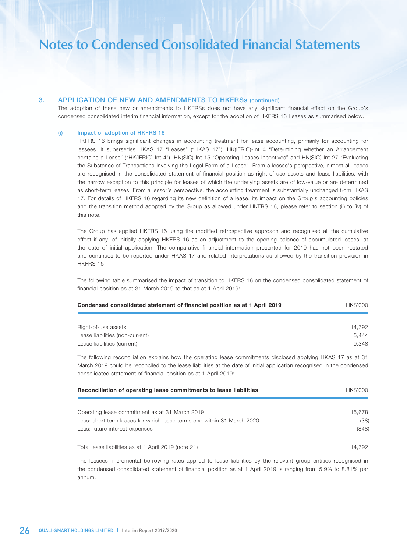### 3. APPLICATION OF NEW AND AMENDMENTS TO HKFRSs (continued)

The adoption of these new or amendments to HKFRSs does not have any significant financial effect on the Group's condensed consolidated interim financial information, except for the adoption of HKFRS 16 Leases as summarised below.

#### (i) Impact of adoption of HKFRS 16

HKFRS 16 brings significant changes in accounting treatment for lease accounting, primarily for accounting for lessees. It supersedes HKAS 17 "Leases" ("HKAS 17"), HK(IFRIC)-Int 4 "Determining whether an Arrangement contains a Lease" ("HK(IFRIC)-Int 4"), HK(SIC)-Int 15 "Operating Leases-Incentives" and HK(SIC)-Int 27 "Evaluating the Substance of Transactions Involving the Legal Form of a Lease". From a lessee's perspective, almost all leases are recognised in the consolidated statement of financial position as right-of-use assets and lease liabilities, with the narrow exception to this principle for leases of which the underlying assets are of low-value or are determined as short-term leases. From a lessor's perspective, the accounting treatment is substantially unchanged from HKAS 17. For details of HKFRS 16 regarding its new definition of a lease, its impact on the Group's accounting policies and the transition method adopted by the Group as allowed under HKFRS 16, please refer to section (ii) to (iv) of this note.

The Group has applied HKFRS 16 using the modified retrospective approach and recognised all the cumulative effect if any, of initially applying HKFRS 16 as an adjustment to the opening balance of accumulated losses, at the date of initial application. The comparative financial information presented for 2019 has not been restated and continues to be reported under HKAS 17 and related interpretations as allowed by the transition provision in HKFRS 16

The following table summarised the impact of transition to HKFRS 16 on the condensed consolidated statement of financial position as at 31 March 2019 to that as at 1 April 2019:

| Condensed consolidated statement of financial position as at 1 April 2019 | HK\$'000 |
|---------------------------------------------------------------------------|----------|
|                                                                           |          |
| Right-of-use assets                                                       | 14.792   |
| Lease liabilities (non-current)                                           | 5.444    |
| Lease liabilities (current)                                               | 9.348    |

The following reconciliation explains how the operating lease commitments disclosed applying HKAS 17 as at 31 March 2019 could be reconciled to the lease liabilities at the date of initial application recognised in the condensed consolidated statement of financial position as at 1 April 2019:

| Reconciliation of operating lease commitments to lease liabilities     | HK\$'000 |
|------------------------------------------------------------------------|----------|
|                                                                        |          |
| Operating lease commitment as at 31 March 2019                         | 15.678   |
| Less: short term leases for which lease terms end within 31 March 2020 | (38)     |
| Less: future interest expenses                                         | (848)    |
| Total lease liabilities as at 1 April 2019 (note 21)                   | 14.792   |

The lessees' incremental borrowing rates applied to lease liabilities by the relevant group entities recognised in the condensed consolidated statement of financial position as at 1 April 2019 is ranging from 5.9% to 8.81% per annum.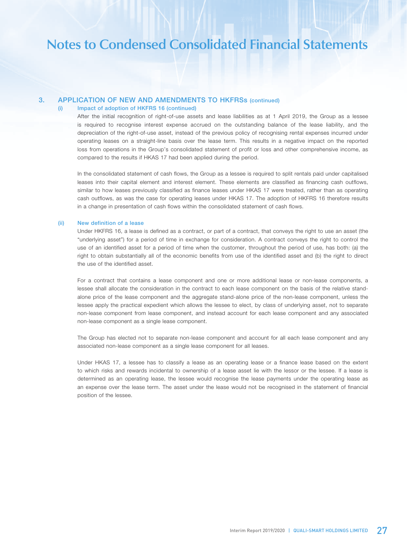### 3. APPLICATION OF NEW AND AMENDMENTS TO HKFRSs (continued)

#### (i) Impact of adoption of HKFRS 16 (continued)

After the initial recognition of right-of-use assets and lease liabilities as at 1 April 2019, the Group as a lessee is required to recognise interest expense accrued on the outstanding balance of the lease liability, and the depreciation of the right-of-use asset, instead of the previous policy of recognising rental expenses incurred under operating leases on a straight-line basis over the lease term. This results in a negative impact on the reported loss from operations in the Group's consolidated statement of profit or loss and other comprehensive income, as compared to the results if HKAS 17 had been applied during the period.

In the consolidated statement of cash flows, the Group as a lessee is required to split rentals paid under capitalised leases into their capital element and interest element. These elements are classified as financing cash outflows, similar to how leases previously classified as finance leases under HKAS 17 were treated, rather than as operating cash outflows, as was the case for operating leases under HKAS 17. The adoption of HKFRS 16 therefore results in a change in presentation of cash flows within the consolidated statement of cash flows.

#### (ii) New definition of a lease

Under HKFRS 16, a lease is defined as a contract, or part of a contract, that conveys the right to use an asset (the "underlying asset") for a period of time in exchange for consideration. A contract conveys the right to control the use of an identified asset for a period of time when the customer, throughout the period of use, has both: (a) the right to obtain substantially all of the economic benefits from use of the identified asset and (b) the right to direct the use of the identified asset.

For a contract that contains a lease component and one or more additional lease or non-lease components, a lessee shall allocate the consideration in the contract to each lease component on the basis of the relative standalone price of the lease component and the aggregate stand-alone price of the non-lease component, unless the lessee apply the practical expedient which allows the lessee to elect, by class of underlying asset, not to separate non-lease component from lease component, and instead account for each lease component and any associated non-lease component as a single lease component.

The Group has elected not to separate non-lease component and account for all each lease component and any associated non-lease component as a single lease component for all leases.

Under HKAS 17, a lessee has to classify a lease as an operating lease or a finance lease based on the extent to which risks and rewards incidental to ownership of a lease asset lie with the lessor or the lessee. If a lease is determined as an operating lease, the lessee would recognise the lease payments under the operating lease as an expense over the lease term. The asset under the lease would not be recognised in the statement of financial position of the lessee.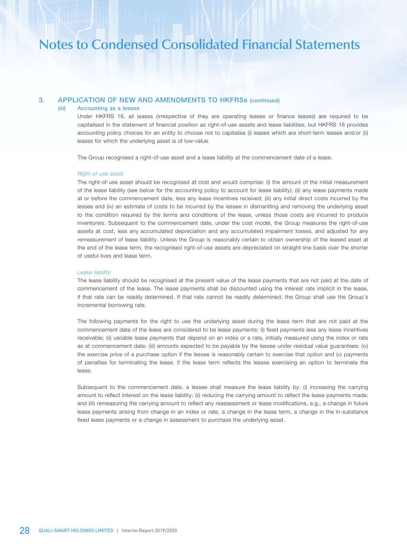## 3. APPLICATION OF NEW AND AMENDMENTS TO HKFRSs (continued)

#### (iii) Accounting as a lessee

Under HKFRS 16, all leases (irrespective of they are operating leases or finance leases) are required to be capitalised in the statement of financial position as right-of-use assets and lease liabilities, but HKFRS 16 provides accounting policy choices for an entity to choose not to capitalise (i) leases which are short-term leases and/or (ii) leases for which the underlying asset is of low-value.

The Group recognised a right-of-use asset and a lease liability at the commencement date of a lease.

#### *Right-of-use asset*

The right-of-use asset should be recognised at cost and would comprise: (i) the amount of the initial measurement of the lease liability (see below for the accounting policy to account for lease liability); (ii) any lease payments made at or before the commencement date, less any lease incentives received; (iii) any initial direct costs incurred by the lessee and (iv) an estimate of costs to be incurred by the lessee in dismantling and removing the underlying asset to the condition required by the terms and conditions of the lease, unless those costs are incurred to produce inventories. Subsequent to the commencement date, under the cost model, the Group measures the right-of-use assets at cost, less any accumulated depreciation and any accumulated impairment losses, and adjusted for any remeasurement of lease liability. Unless the Group is reasonably certain to obtain ownership of the leased asset at the end of the lease term, the recognised right-of-use assets are depreciated on straight-line basis over the shorter of useful lives and lease term.

#### *Lease liability*

The lease liability should be recognised at the present value of the lease payments that are not paid at the date of commencement of the lease. The lease payments shall be discounted using the interest rate implicit in the lease, if that rate can be readily determined. If that rate cannot be readily determined, the Group shall use the Group's incremental borrowing rate.

The following payments for the right to use the underlying asset during the lease term that are not paid at the commencement date of the lease are considered to be lease payments: (i) fixed payments less any lease incentives receivable; (ii) variable lease payments that depend on an index or a rate, initially measured using the index or rate as at commencement date; (iii) amounts expected to be payable by the lessee under residual value guarantees; (iv) the exercise price of a purchase option if the lessee is reasonably certain to exercise that option and (v) payments of penalties for terminating the lease, if the lease term reflects the lessee exercising an option to terminate the lease.

Subsequent to the commencement date, a lessee shall measure the lease liability by: (i) increasing the carrying amount to reflect interest on the lease liability; (ii) reducing the carrying amount to reflect the lease payments made; and (iii) remeasuring the carrying amount to reflect any reassessment or lease modifications, e.g., a change in future lease payments arising from change in an index or rate, a change in the lease term, a change in the in-substance fixed lease payments or a change in assessment to purchase the underlying asset.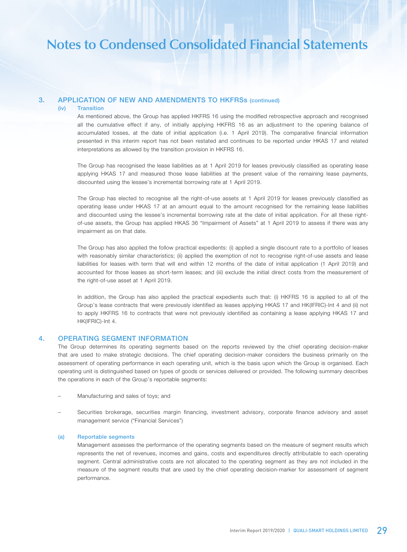## 3. APPLICATION OF NEW AND AMENDMENTS TO HKFRSs (continued)

#### (iv) Transition

As mentioned above, the Group has applied HKFRS 16 using the modified retrospective approach and recognised all the cumulative effect if any, of initially applying HKFRS 16 as an adjustment to the opening balance of accumulated losses, at the date of initial application (i.e. 1 April 2019). The comparative financial information presented in this interim report has not been restated and continues to be reported under HKAS 17 and related interpretations as allowed by the transition provision in HKFRS 16.

The Group has recognised the lease liabilities as at 1 April 2019 for leases previously classified as operating lease applying HKAS 17 and measured those lease liabilities at the present value of the remaining lease payments, discounted using the lessee's incremental borrowing rate at 1 April 2019.

The Group has elected to recognise all the right-of-use assets at 1 April 2019 for leases previously classified as operating lease under HKAS 17 at an amount equal to the amount recognised for the remaining lease liabilities and discounted using the lessee's incremental borrowing rate at the date of initial application. For all these rightof-use assets, the Group has applied HKAS 36 "Impairment of Assets" at 1 April 2019 to assess if there was any impairment as on that date.

The Group has also applied the follow practical expedients: (i) applied a single discount rate to a portfolio of leases with reasonably similar characteristics; (ii) applied the exemption of not to recognise right-of-use assets and lease liabilities for leases with term that will end within 12 months of the date of initial application (1 April 2019) and accounted for those leases as short-term leases; and (iii) exclude the initial direct costs from the measurement of the right-of-use asset at 1 April 2019.

In addition, the Group has also applied the practical expedients such that: (i) HKFRS 16 is applied to all of the Group's lease contracts that were previously identified as leases applying HKAS 17 and HK(IFRIC)-Int 4 and (ii) not to apply HKFRS 16 to contracts that were not previously identified as containing a lease applying HKAS 17 and HK(IFRIC)-Int 4.

### 4. OPERATING SEGMENT INFORMATION

The Group determines its operating segments based on the reports reviewed by the chief operating decision-maker that are used to make strategic decisions. The chief operating decision-maker considers the business primarily on the assessment of operating performance in each operating unit, which is the basis upon which the Group is organised. Each operating unit is distinguished based on types of goods or services delivered or provided. The following summary describes the operations in each of the Group's reportable segments:

- Manufacturing and sales of toys; and
- Securities brokerage, securities margin financing, investment advisory, corporate finance advisory and asset management service ("Financial Services")

#### (a) Reportable segments

Management assesses the performance of the operating segments based on the measure of segment results which represents the net of revenues, incomes and gains, costs and expenditures directly attributable to each operating segment. Central administrative costs are not allocated to the operating segment as they are not included in the measure of the segment results that are used by the chief operating decision-marker for assessment of segment performance.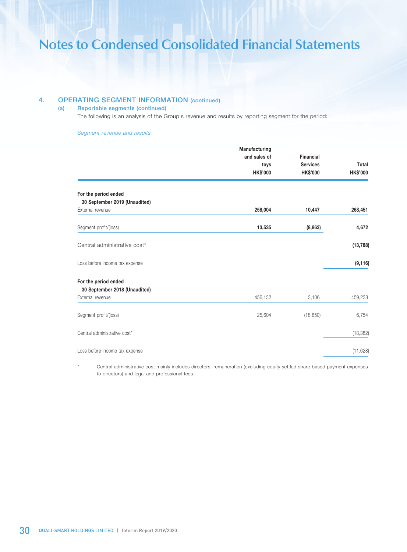## 4. OPERATING SEGMENT INFORMATION (continued)

### (a) Reportable segments (continued)

The following is an analysis of the Group's revenue and results by reporting segment for the period:

#### *Segment revenue and results*

|                                | Manufacturing   |                  |                 |
|--------------------------------|-----------------|------------------|-----------------|
|                                | and sales of    | <b>Financial</b> |                 |
|                                | toys            | <b>Services</b>  | Total           |
|                                | <b>HK\$'000</b> | <b>HK\$'000</b>  | <b>HK\$'000</b> |
| For the period ended           |                 |                  |                 |
| 30 September 2019 (Unaudited)  |                 |                  |                 |
| External revenue               | 258,004         | 10,447           | 268,451         |
| Segment profit/(loss)          | 13,535          | (8,863)          | 4,672           |
| Central administrative cost*   |                 |                  | (13, 788)       |
| Loss before income tax expense |                 |                  | (9, 116)        |
| For the period ended           |                 |                  |                 |
| 30 September 2018 (Unaudited)  |                 |                  |                 |
| External revenue               | 456,132         | 3,106            | 459,238         |
| Segment profit/(loss)          | 25,604          | (18, 850)        | 6,754           |
| Central administrative cost*   |                 |                  | (18, 382)       |
| Loss before income tax expense |                 |                  | (11, 628)       |
|                                |                 |                  |                 |

Central administrative cost mainly includes directors' remuneration (excluding equity settled share-based payment expenses to directors) and legal and professional fees.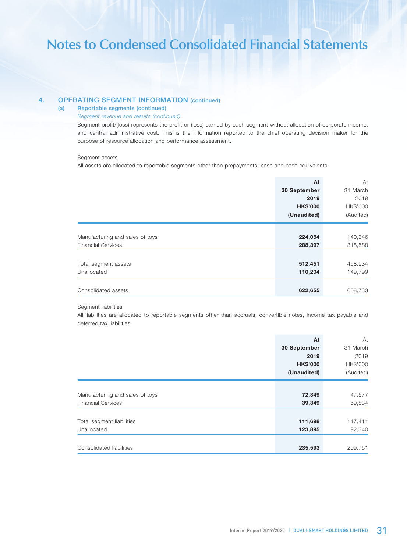## 4. OPERATING SEGMENT INFORMATION (continued)

## (a) Reportable segments (continued)

#### *Segment revenue and results (continued)*

Segment profit/(loss) represents the profit or (loss) earned by each segment without allocation of corporate income, and central administrative cost. This is the information reported to the chief operating decision maker for the purpose of resource allocation and performance assessment.

#### Segment assets

All assets are allocated to reportable segments other than prepayments, cash and cash equivalents.

|                                 | At              | At        |
|---------------------------------|-----------------|-----------|
|                                 | 30 September    | 31 March  |
|                                 | 2019            | 2019      |
|                                 | <b>HK\$'000</b> | HK\$'000  |
|                                 | (Unaudited)     | (Audited) |
|                                 |                 |           |
| Manufacturing and sales of toys | 224,054         | 140,346   |
| <b>Financial Services</b>       | 288,397         | 318,588   |
|                                 |                 |           |
| Total segment assets            | 512,451         | 458,934   |
| Unallocated                     | 110,204         | 149,799   |
|                                 |                 |           |
| Consolidated assets             | 622,655         | 608,733   |

#### Segment liabilities

All liabilities are allocated to reportable segments other than accruals, convertible notes, income tax payable and deferred tax liabilities.

|                                 | At              | At        |
|---------------------------------|-----------------|-----------|
|                                 | 30 September    | 31 March  |
|                                 | 2019            | 2019      |
|                                 | <b>HK\$'000</b> | HK\$'000  |
|                                 | (Unaudited)     | (Audited) |
|                                 |                 |           |
| Manufacturing and sales of toys | 72,349          | 47,577    |
| <b>Financial Services</b>       | 39,349          | 69,834    |
|                                 |                 |           |
| Total segment liabilities       | 111,698         | 117,411   |
| Unallocated                     | 123,895         | 92,340    |
|                                 |                 |           |
| Consolidated liabilities        | 235,593         | 209,751   |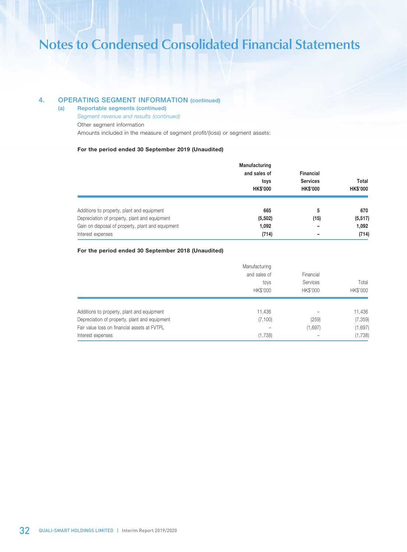## 4. OPERATING SEGMENT INFORMATION (continued)

- (a) Reportable segments (continued)
	- *Segment revenue and results (continued)*
	- Other segment information

Amounts included in the measure of segment profit/(loss) or segment assets:

#### For the period ended 30 September 2019 (Unaudited)

|                                                   | Manufacturing   |                  |                 |
|---------------------------------------------------|-----------------|------------------|-----------------|
|                                                   | and sales of    | <b>Financial</b> |                 |
|                                                   | toys            | <b>Services</b>  | Total           |
|                                                   | <b>HK\$'000</b> | <b>HK\$'000</b>  | <b>HK\$'000</b> |
| Additions to property, plant and equipment        | 665             | 5                | 670             |
| Depreciation of property, plant and equipment     | (5, 502)        | (15)             | (5, 517)        |
| Gain on disposal of property, plant and equipment | 1.092           | -                | 1,092           |
| Interest expenses                                 | (714)           | -                | (714)           |

#### For the period ended 30 September 2018 (Unaudited)

|                                               | Manufacturing |                       |                 |
|-----------------------------------------------|---------------|-----------------------|-----------------|
|                                               | and sales of  | Financial<br>Services | Total           |
|                                               | toys          |                       |                 |
|                                               | HK\$'000      | HK\$'000              | <b>HK\$'000</b> |
| Additions to property, plant and equipment    | 11,436        |                       | 11,436          |
| Depreciation of property, plant and equipment | (7, 100)      | (259)                 | (7, 359)        |
| Fair value loss on financial assets at FVTPL  |               | (1,697)               | (1,697)         |
| Interest expenses                             | (1,738)       |                       | (1,738)         |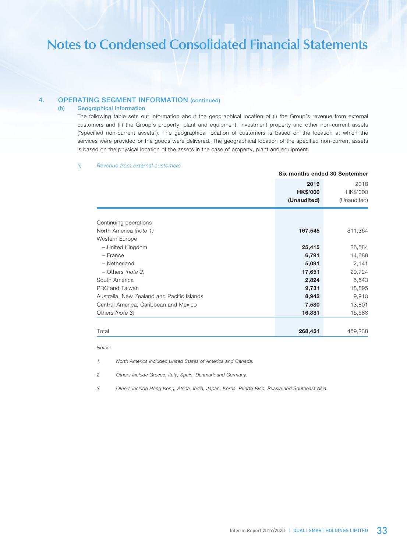## 4. OPERATING SEGMENT INFORMATION (continued)

#### (b) Geographical information

The following table sets out information about the geographical location of (i) the Group's revenue from external customers and (ii) the Group's property, plant and equipment, investment property and other non-current assets ("specified non-current assets"). The geographical location of customers is based on the location at which the services were provided or the goods were delivered. The geographical location of the specified non-current assets is based on the physical location of the assets in the case of property, plant and equipment.

#### *(i) Revenue from external customers*

|                                            | Six months ended 30 September          |                                 |
|--------------------------------------------|----------------------------------------|---------------------------------|
|                                            | 2019<br><b>HK\$'000</b><br>(Unaudited) | 2018<br>HK\$'000<br>(Unaudited) |
| Continuing operations                      |                                        |                                 |
| North America (note 1)                     | 167,545                                | 311,364                         |
| Western Europe                             |                                        |                                 |
| - United Kingdom                           | 25,415                                 | 36,584                          |
| - France                                   | 6,791                                  | 14,688                          |
| - Netherland                               | 5,091                                  | 2,141                           |
| $-$ Others (note 2)                        | 17,651                                 | 29,724                          |
| South America                              | 2,824                                  | 5,543                           |
| PRC and Taiwan                             | 9,731                                  | 18,895                          |
| Australia, New Zealand and Pacific Islands | 8,942                                  | 9,910                           |
| Central America, Caribbean and Mexico      | 7,580                                  | 13,801                          |
| Others (note 3)                            | 16,881                                 | 16,588                          |
| Total                                      | 268,451                                | 459,238                         |

#### *Notes:*

*1. North America includes United States of America and Canada.*

*2. Others include Greece, Italy, Spain, Denmark and Germany.*

*3. Others include Hong Kong, Africa, India, Japan, Korea, Puerto Rico, Russia and Southeast Asia.*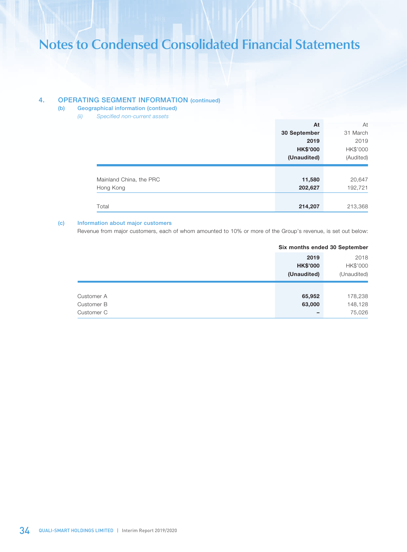## 4. OPERATING SEGMENT INFORMATION (continued)

- (b) Geographical information (continued)
	- *(ii) Specified non-current assets*

|                         | At              | At        |
|-------------------------|-----------------|-----------|
|                         | 30 September    | 31 March  |
|                         | 2019            | 2019      |
|                         | <b>HK\$'000</b> | HK\$'000  |
|                         | (Unaudited)     | (Audited) |
|                         |                 |           |
| Mainland China, the PRC | 11,580          | 20,647    |
| Hong Kong               | 202,627         | 192,721   |
|                         |                 |           |
| Total                   | 214,207         | 213,368   |

#### (c) Information about major customers

Revenue from major customers, each of whom amounted to 10% or more of the Group's revenue, is set out below:

|                 | Six months ended 30 September |          |
|-----------------|-------------------------------|----------|
|                 | 2019                          | 2018     |
| <b>HK\$'000</b> |                               | HK\$'000 |
| (Unaudited)     | (Unaudited)                   |          |
|                 |                               |          |
| 65,952          |                               | 178,238  |
| 63,000          |                               | 148,128  |
|                 |                               | 75,026   |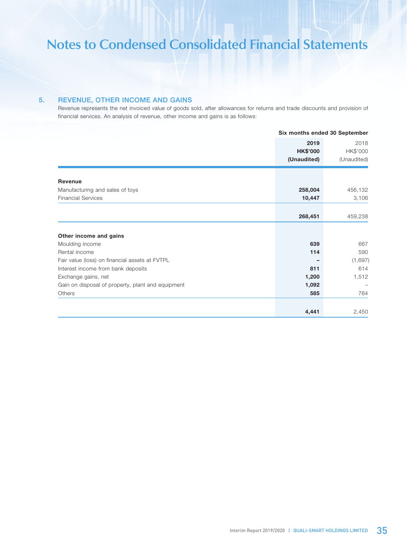## 5. REVENUE, OTHER INCOME AND GAINS

Revenue represents the net invoiced value of goods sold, after allowances for returns and trade discounts and provision of financial services. An analysis of revenue, other income and gains is as follows:

|                                                   | Six months ended 30 September |             |
|---------------------------------------------------|-------------------------------|-------------|
|                                                   | 2019                          | 2018        |
|                                                   | <b>HK\$'000</b>               | HK\$'000    |
|                                                   | (Unaudited)                   | (Unaudited) |
|                                                   |                               |             |
| Revenue                                           |                               |             |
| Manufacturing and sales of toys                   | 258,004                       | 456,132     |
| <b>Financial Services</b>                         | 10,447                        | 3,106       |
|                                                   |                               |             |
|                                                   | 268,451                       | 459,238     |
|                                                   |                               |             |
| Other income and gains                            |                               |             |
| Moulding income                                   | 639                           | 667         |
| Rental income                                     | 114                           | 590         |
| Fair value (loss) on financial assets at FVTPL    |                               | (1,697)     |
| Interest income from bank deposits                | 811                           | 614         |
| Exchange gains, net                               | 1,200                         | 1,512       |
| Gain on disposal of property, plant and equipment | 1,092                         |             |
| Others                                            | 585                           | 764         |
|                                                   |                               | 2,450       |
|                                                   | 4,441                         |             |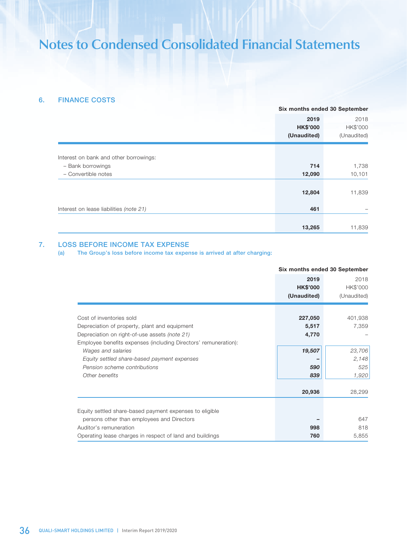## 6. FINANCE COSTS

|                                         | Six months ended 30 September |             |
|-----------------------------------------|-------------------------------|-------------|
|                                         | 2019                          | 2018        |
|                                         | <b>HK\$'000</b>               | HK\$'000    |
|                                         | (Unaudited)                   | (Unaudited) |
| Interest on bank and other borrowings:  |                               |             |
| - Bank borrowings                       | 714                           | 1,738       |
| - Convertible notes                     | 12,090                        | 10,101      |
|                                         | 12,804                        | 11,839      |
| Interest on lease liabilities (note 21) | 461                           |             |
|                                         | 13,265                        | 11,839      |

## 7. LOSS BEFORE INCOME TAX EXPENSE

(a) The Group's loss before income tax expense is arrived at after charging:

|                                                                                                                                                                                               | Six months ended 30 September          |                                 |
|-----------------------------------------------------------------------------------------------------------------------------------------------------------------------------------------------|----------------------------------------|---------------------------------|
|                                                                                                                                                                                               | 2019<br><b>HK\$'000</b><br>(Unaudited) | 2018<br>HK\$'000<br>(Unaudited) |
| Cost of inventories sold<br>Depreciation of property, plant and equipment<br>Depreciation on right-of-use assets (note 21)<br>Employee benefits expenses (including Directors' remuneration): | 227,050<br>5,517<br>4,770              | 401,938<br>7,359                |
| Wages and salaries<br>Equity settled share-based payment expenses<br>Pension scheme contributions<br>Other benefits                                                                           | 19,507<br>590<br>839                   | 23,706<br>2,148<br>525<br>1,920 |
|                                                                                                                                                                                               | 20,936                                 | 28,299                          |
| Equity settled share-based payment expenses to eligible<br>persons other than employees and Directors<br>Auditor's remuneration<br>Operating lease charges in respect of land and buildings   | 998<br>760                             | 647<br>818<br>5,855             |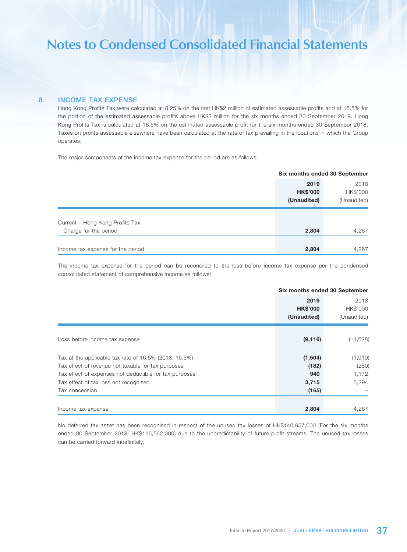### 8. INCOME TAX EXPENSE

Hong Kong Profits Tax were calculated at 8.25% on the first HK\$2 million of estimated assessable profits and at 16.5% for the portion of the estimated assessable profits above HK\$2 million for the six months ended 30 September 2019. Hong Kong Profits Tax is calculated at 16.5% on the estimated assessable profit for the six months ended 30 September 2018. Taxes on profits assessable elsewhere have been calculated at the rate of tax prevailing in the locations in which the Group operates.

The major components of the income tax expense for the period are as follows:

|                                   | Six months ended 30 September |             |
|-----------------------------------|-------------------------------|-------------|
|                                   | 2019                          | 2018        |
|                                   | <b>HK\$'000</b>               | HK\$'000    |
|                                   | (Unaudited)                   | (Unaudited) |
|                                   |                               |             |
| Current - Hong Kong Profits Tax   |                               |             |
| Charge for the period             | 2,804                         | 4,267       |
|                                   |                               |             |
| Income tax expense for the period | 2,804                         | 4,267       |

The income tax expense for the period can be reconciled to the loss before income tax expense per the condensed consolidated statement of comprehensive income as follows:

|                                                          |                 | Six months ended 30 September |  |
|----------------------------------------------------------|-----------------|-------------------------------|--|
|                                                          | 2019            | 2018                          |  |
|                                                          | <b>HK\$'000</b> | HK\$'000                      |  |
|                                                          | (Unaudited)     | (Unaudited)                   |  |
|                                                          |                 |                               |  |
| Loss before income tax expense                           | (9, 116)        | (11, 628)                     |  |
|                                                          |                 |                               |  |
| Tax at the applicable tax rate of $16.5\%$ (2018: 16.5%) | (1,504)         | (1, 919)                      |  |
| Tax effect of revenue not taxable for tax purposes       | (182)           | (280)                         |  |
| Tax effect of expenses not deductible for tax purposes   | 940             | 1,172                         |  |
| Tax effect of tax loss not recognised                    | 3,715           | 5,294                         |  |
| Tax concession                                           | (165)           |                               |  |
|                                                          |                 |                               |  |
| Income tax expense                                       | 2,804           | 4,267                         |  |

No deferred tax asset has been recognised in respect of the unused tax losses of HK\$140,957,000 (For the six months ended 30 September 2018: HK\$115,552,000) due to the unpredictability of future profit streams. The unused tax losses can be carried forward indefinitely.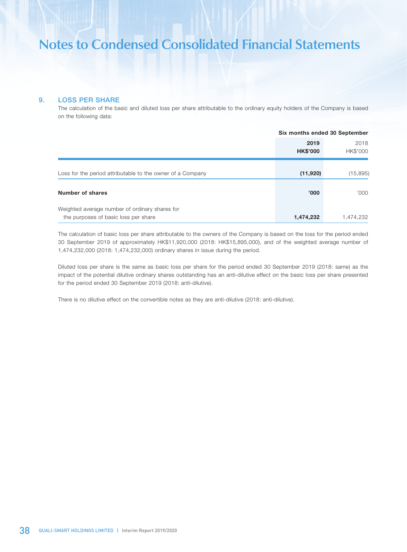## 9. LOSS PER SHARE

The calculation of the basic and diluted loss per share attributable to the ordinary equity holders of the Company is based on the following data:

|                                                                                        | Six months ended 30 September |                  |
|----------------------------------------------------------------------------------------|-------------------------------|------------------|
|                                                                                        | 2019<br><b>HK\$'000</b>       | 2018<br>HK\$'000 |
| Loss for the period attributable to the owner of a Company                             | (11,920)                      | (15, 895)        |
| Number of shares                                                                       | '000'                         | 000'             |
| Weighted average number of ordinary shares for<br>the purposes of basic loss per share | 1,474,232                     | 1,474,232        |

The calculation of basic loss per share attributable to the owners of the Company is based on the loss for the period ended 30 September 2019 of approximately HK\$11,920,000 (2018: HK\$15,895,000), and of the weighted average number of 1,474,232,000 (2018: 1,474,232,000) ordinary shares in issue during the period.

Diluted loss per share is the same as basic loss per share for the period ended 30 September 2019 (2018: same) as the impact of the potential dilutive ordinary shares outstanding has an anti-dilutive effect on the basic loss per share presented for the period ended 30 September 2019 (2018: anti-dilutive).

There is no dilutive effect on the convertible notes as they are anti-dilutive (2018: anti-dilutive).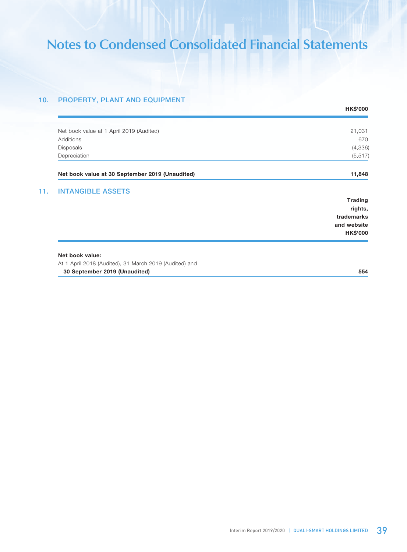## 10. PROPERTY, PLANT AND EQUIPMENT

|                                                        | <b>HK\$'000</b> |
|--------------------------------------------------------|-----------------|
|                                                        |                 |
| Net book value at 1 April 2019 (Audited)               | 21,031          |
| Additions                                              | 670             |
| <b>Disposals</b>                                       | (4, 336)        |
| Depreciation                                           | (5, 517)        |
| Net book value at 30 September 2019 (Unaudited)        | 11,848          |
| <b>INTANGIBLE ASSETS</b>                               |                 |
|                                                        | <b>Trading</b>  |
|                                                        | rights,         |
|                                                        | trademarks      |
|                                                        | and website     |
|                                                        | <b>HK\$'000</b> |
|                                                        |                 |
| Net book value:                                        |                 |
| At 1 April 2018 (Audited), 31 March 2019 (Audited) and |                 |
| 30 September 2019 (Unaudited)                          | 554             |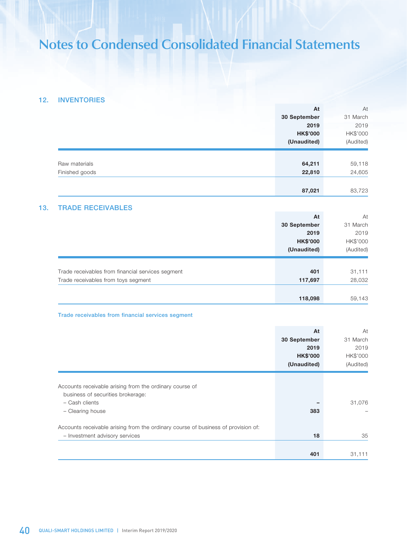## 12. INVENTORIES

|                                                   | At                 | At             |
|---------------------------------------------------|--------------------|----------------|
|                                                   | 30 September       | 31 March       |
|                                                   | 2019               | 2019           |
|                                                   | <b>HK\$'000</b>    | HK\$'000       |
|                                                   | (Unaudited)        | (Audited)      |
|                                                   |                    |                |
| Raw materials                                     | 64,211             | 59,118         |
| Finished goods                                    | 22,810             | 24,605         |
|                                                   | 87,021             | 83,723         |
| <b>TRADE RECEIVABLES</b>                          |                    |                |
|                                                   | At                 | At             |
|                                                   | 30 September       | 31 March       |
|                                                   | 2019               | 2019           |
|                                                   | <b>HK\$'000</b>    | HK\$'000       |
|                                                   | (Unaudited)        | (Audited)      |
| Trade receivables from financial services segment | 401                | 31,111         |
| Trade receivables from toys segment               | 117,697            | 28,032         |
|                                                   |                    |                |
|                                                   | 118,098            | 59,143         |
| Trade receivables from financial services segment |                    |                |
|                                                   |                    |                |
|                                                   | At<br>30 September | At<br>31 March |
|                                                   | 2019               | 2019           |
|                                                   | <b>HK\$'000</b>    | HK\$'000       |
|                                                   | (Unaudited)        | (Audited)      |
|                                                   |                    |                |

| Accounts receivable arising from the ordinary course of                           |     |        |
|-----------------------------------------------------------------------------------|-----|--------|
| business of securities brokerage:                                                 |     |        |
| $-$ Cash clients                                                                  |     | 31,076 |
| - Clearing house                                                                  | 383 |        |
|                                                                                   |     |        |
| Accounts receivable arising from the ordinary course of business of provision of: |     |        |
| - Investment advisory services                                                    | 18  | 35     |
|                                                                                   |     |        |
|                                                                                   | 401 | 31.111 |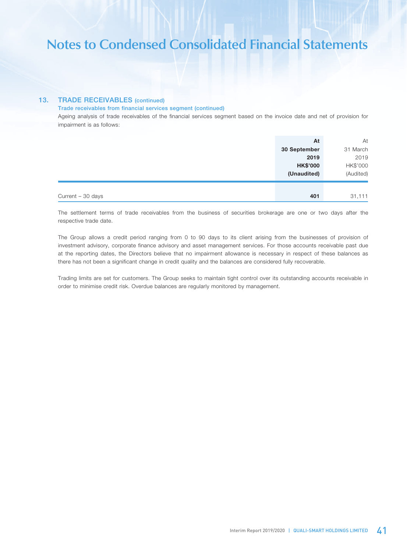### 13. TRADE RECEIVABLES (continued)

#### Trade receivables from financial services segment (continued)

Ageing analysis of trade receivables of the financial services segment based on the invoice date and net of provision for impairment is as follows:

|                    | At              | At        |
|--------------------|-----------------|-----------|
|                    | 30 September    | 31 March  |
|                    | 2019            | 2019      |
|                    | <b>HK\$'000</b> | HK\$'000  |
|                    | (Unaudited)     | (Audited) |
|                    |                 |           |
| Current $-30$ days | 401             | 31,111    |

The settlement terms of trade receivables from the business of securities brokerage are one or two days after the respective trade date.

The Group allows a credit period ranging from 0 to 90 days to its client arising from the businesses of provision of investment advisory, corporate finance advisory and asset management services. For those accounts receivable past due at the reporting dates, the Directors believe that no impairment allowance is necessary in respect of these balances as there has not been a significant change in credit quality and the balances are considered fully recoverable.

Trading limits are set for customers. The Group seeks to maintain tight control over its outstanding accounts receivable in order to minimise credit risk. Overdue balances are regularly monitored by management.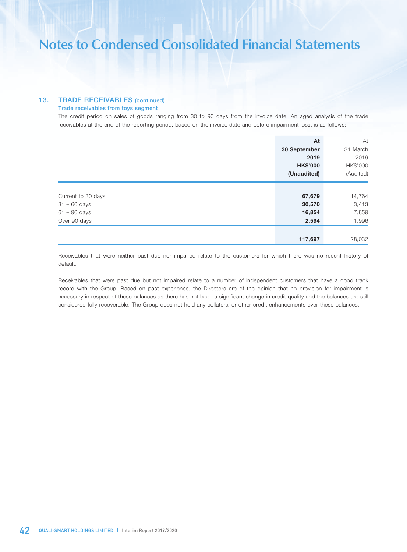## 13. TRADE RECEIVABLES (continued)

### Trade receivables from toys segment

The credit period on sales of goods ranging from 30 to 90 days from the invoice date. An aged analysis of the trade receivables at the end of the reporting period, based on the invoice date and before impairment loss, is as follows:

|                    | At              | At        |
|--------------------|-----------------|-----------|
|                    | 30 September    | 31 March  |
|                    | 2019            | 2019      |
|                    | <b>HK\$'000</b> | HK\$'000  |
|                    | (Unaudited)     | (Audited) |
|                    |                 |           |
| Current to 30 days | 67,679          | 14,764    |
| $31 - 60$ days     | 30,570          | 3,413     |
| $61 - 90$ days     | 16,854          | 7,859     |
| Over 90 days       | 2,594           | 1,996     |
|                    |                 |           |
|                    | 117,697         | 28,032    |

Receivables that were neither past due nor impaired relate to the customers for which there was no recent history of default.

Receivables that were past due but not impaired relate to a number of independent customers that have a good track record with the Group. Based on past experience, the Directors are of the opinion that no provision for impairment is necessary in respect of these balances as there has not been a significant change in credit quality and the balances are still considered fully recoverable. The Group does not hold any collateral or other credit enhancements over these balances.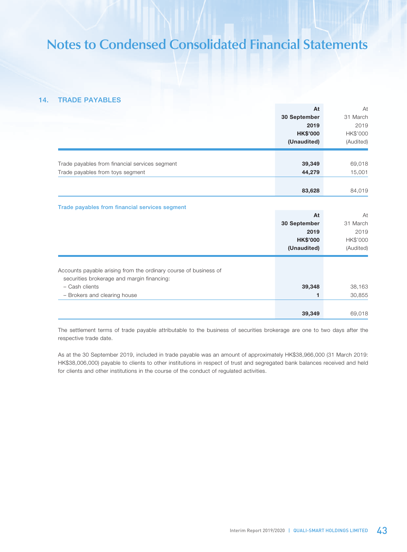## 14. TRADE PAYABLES

|                                                                  | At              | At        |
|------------------------------------------------------------------|-----------------|-----------|
|                                                                  | 30 September    | 31 March  |
|                                                                  | 2019            | 2019      |
|                                                                  | <b>HK\$'000</b> | HK\$'000  |
|                                                                  | (Unaudited)     | (Audited) |
|                                                                  |                 |           |
| Trade payables from financial services segment                   | 39,349          | 69,018    |
| Trade payables from toys segment                                 | 44,279          | 15,001    |
|                                                                  |                 |           |
|                                                                  | 83,628          | 84,019    |
| Trade payables from financial services segment                   |                 |           |
|                                                                  | At              | At        |
|                                                                  | 30 September    | 31 March  |
|                                                                  | 2019            | 2019      |
|                                                                  | <b>HK\$'000</b> | HK\$'000  |
|                                                                  | (Unaudited)     | (Audited) |
|                                                                  |                 |           |
| Accounts payable arising from the ordinary course of business of |                 |           |
| securities brokerage and margin financing:                       |                 |           |
| - Cash clients                                                   | 39,348          | 38,163    |
| - Brokers and clearing house                                     | 1               | 30,855    |
|                                                                  |                 |           |
|                                                                  | 39,349          | 69,018    |

The settlement terms of trade payable attributable to the business of securities brokerage are one to two days after the respective trade date.

As at the 30 September 2019, included in trade payable was an amount of approximately HK\$38,966,000 (31 March 2019: HK\$38,006,000) payable to clients to other institutions in respect of trust and segregated bank balances received and held for clients and other institutions in the course of the conduct of regulated activities.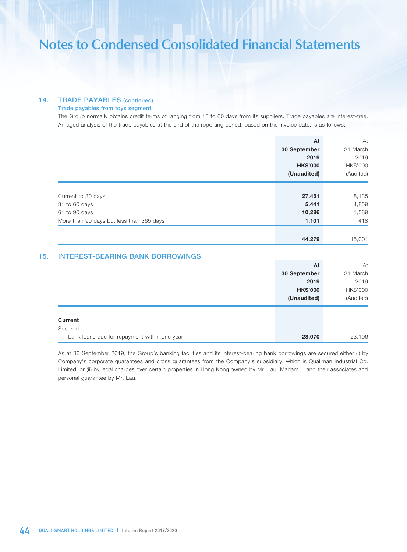## 14. TRADE PAYABLES (continued)

#### Trade payables from toys segment

The Group normally obtains credit terms of ranging from 15 to 60 days from its suppliers. Trade payables are interest-free. An aged analysis of the trade payables at the end of the reporting period, based on the invoice date, is as follows:

|                                          | At              | At        |
|------------------------------------------|-----------------|-----------|
|                                          | 30 September    | 31 March  |
|                                          | 2019            | 2019      |
|                                          | <b>HK\$'000</b> | HK\$'000  |
|                                          | (Unaudited)     | (Audited) |
|                                          |                 |           |
| Current to 30 days                       | 27,451          | 8,135     |
| 31 to 60 days                            | 5,441           | 4,859     |
| 61 to 90 days                            | 10,286          | 1,589     |
| More than 90 days but less than 365 days | 1,101           | 418       |
|                                          |                 |           |
|                                          | 44,279          | 15,001    |

## 15. INTEREST-BEARING BANK BORROWINGS

|                                                | At              | At        |
|------------------------------------------------|-----------------|-----------|
|                                                | 30 September    | 31 March  |
|                                                | 2019            | 2019      |
|                                                | <b>HK\$'000</b> | HK\$'000  |
|                                                | (Unaudited)     | (Audited) |
|                                                |                 |           |
| <b>Current</b>                                 |                 |           |
| Secured                                        |                 |           |
| - bank loans due for repayment within one year | 28,070          | 23,106    |

As at 30 September 2019, the Group's banking facilities and its interest-bearing bank borrowings are secured either (i) by Company's corporate guarantees and cross guarantees from the Company's subsidiary, which is Qualiman Industrial Co. Limited; or (ii) by legal charges over certain properties in Hong Kong owned by Mr. Lau, Madam Li and their associates and personal guarantee by Mr. Lau.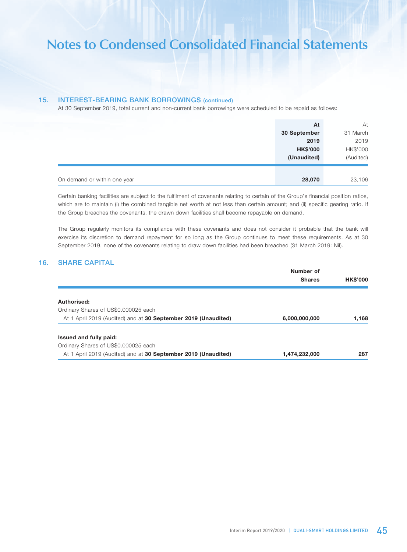## 15. INTEREST-BEARING BANK BORROWINGS (continued)

At 30 September 2019, total current and non-current bank borrowings were scheduled to be repaid as follows:

| At                                     | At        |
|----------------------------------------|-----------|
| 30 September                           | 31 March  |
| 2019                                   | 2019      |
| <b>HK\$'000</b>                        | HK\$'000  |
| (Unaudited)                            | (Audited) |
|                                        |           |
| On demand or within one year<br>28,070 | 23,106    |

Certain banking facilities are subject to the fulfilment of covenants relating to certain of the Group's financial position ratios, which are to maintain (i) the combined tangible net worth at not less than certain amount; and (ii) specific gearing ratio. If the Group breaches the covenants, the drawn down facilities shall become repayable on demand.

The Group regularly monitors its compliance with these covenants and does not consider it probable that the bank will exercise its discretion to demand repayment for so long as the Group continues to meet these requirements. As at 30 September 2019, none of the covenants relating to draw down facilities had been breached (31 March 2019: Nil).

## 16. SHARE CAPITAL

|                                                                | Number of     |                 |
|----------------------------------------------------------------|---------------|-----------------|
|                                                                | <b>Shares</b> | <b>HK\$'000</b> |
| Authorised:                                                    |               |                 |
| Ordinary Shares of US\$0.000025 each                           |               |                 |
| At 1 April 2019 (Audited) and at 30 September 2019 (Unaudited) | 6,000,000,000 | 1.168           |
|                                                                |               |                 |
| Issued and fully paid:                                         |               |                 |
| Ordinary Shares of US\$0.000025 each                           |               |                 |
| At 1 April 2019 (Audited) and at 30 September 2019 (Unaudited) | 1,474,232,000 | 287             |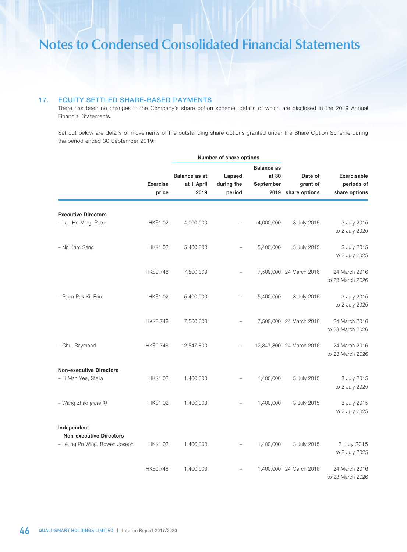## 17. EQUITY SETTLED SHARE-BASED PAYMENTS

There has been no changes in the Company's share option scheme, details of which are disclosed in the 2019 Annual Financial Statements.

Set out below are details of movements of the outstanding share options granted under the Share Option Scheme during the period ended 30 September 2019:

|                                                    | <b>Exercise</b><br>price | Number of share options                    |                                |                                                 |                                      |                                                   |
|----------------------------------------------------|--------------------------|--------------------------------------------|--------------------------------|-------------------------------------------------|--------------------------------------|---------------------------------------------------|
|                                                    |                          | <b>Balance as at</b><br>at 1 April<br>2019 | Lapsed<br>during the<br>period | <b>Balance as</b><br>at 30<br>September<br>2019 | Date of<br>grant of<br>share options | <b>Exercisable</b><br>periods of<br>share options |
| <b>Executive Directors</b><br>- Lau Ho Ming, Peter | HK\$1.02                 | 4,000,000                                  |                                | 4,000,000                                       | 3 July 2015                          | 3 July 2015<br>to 2 July 2025                     |
| - Ng Kam Seng                                      | HK\$1.02                 | 5,400,000                                  |                                | 5,400,000                                       | 3 July 2015                          | 3 July 2015<br>to 2 July 2025                     |
|                                                    | HK\$0.748                | 7,500,000                                  |                                |                                                 | 7,500,000 24 March 2016              | 24 March 2016<br>to 23 March 2026                 |
| - Poon Pak Ki, Eric                                | HK\$1.02                 | 5,400,000                                  |                                | 5,400,000                                       | 3 July 2015                          | 3 July 2015<br>to 2 July 2025                     |
|                                                    | HK\$0.748                | 7,500,000                                  |                                |                                                 | 7,500,000 24 March 2016              | 24 March 2016<br>to 23 March 2026                 |
| - Chu, Raymond                                     | HK\$0.748                | 12,847,800                                 |                                |                                                 | 12,847,800 24 March 2016             | 24 March 2016<br>to 23 March 2026                 |
| <b>Non-executive Directors</b>                     |                          |                                            |                                |                                                 |                                      |                                                   |
| - Li Man Yee, Stella                               | HK\$1.02                 | 1,400,000                                  |                                | 1,400,000                                       | 3 July 2015                          | 3 July 2015<br>to 2 July 2025                     |
| - Wang Zhao (note 1)                               | HK\$1.02                 | 1,400,000                                  |                                | 1,400,000                                       | 3 July 2015                          | 3 July 2015<br>to 2 July 2025                     |
| Independent                                        |                          |                                            |                                |                                                 |                                      |                                                   |
| <b>Non-executive Directors</b>                     |                          |                                            |                                |                                                 |                                      |                                                   |
| - Leung Po Wing, Bowen Joseph                      | HK\$1.02                 | 1,400,000                                  |                                | 1,400,000                                       | 3 July 2015                          | 3 July 2015<br>to 2 July 2025                     |
|                                                    | HK\$0.748                | 1,400,000                                  |                                |                                                 | 1,400,000 24 March 2016              | 24 March 2016<br>to 23 March 2026                 |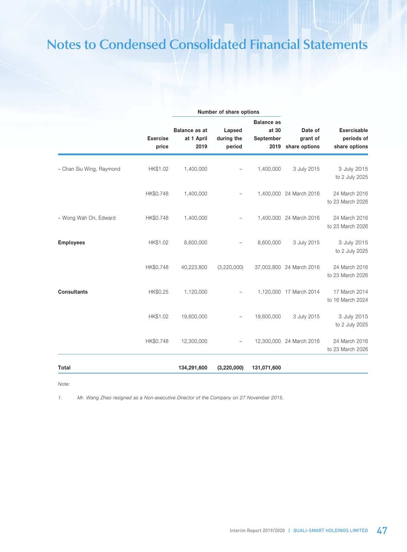|                          |                          |                                            | Number of share options        |                                                 |                                      |                                                   |
|--------------------------|--------------------------|--------------------------------------------|--------------------------------|-------------------------------------------------|--------------------------------------|---------------------------------------------------|
|                          | <b>Exercise</b><br>price | <b>Balance as at</b><br>at 1 April<br>2019 | Lapsed<br>during the<br>period | <b>Balance as</b><br>at 30<br>September<br>2019 | Date of<br>grant of<br>share options | <b>Exercisable</b><br>periods of<br>share options |
| - Chan Siu Wing, Raymond | HK\$1.02                 | 1,400,000                                  |                                | 1,400,000                                       | 3 July 2015                          | 3 July 2015<br>to 2 July 2025                     |
|                          | HK\$0.748                | 1,400,000                                  |                                |                                                 | 1,400,000 24 March 2016              | 24 March 2016<br>to 23 March 2026                 |
| - Wong Wah On, Edward    | HK\$0.748                | 1,400,000                                  |                                |                                                 | 1,400,000 24 March 2016              | 24 March 2016<br>to 23 March 2026                 |
| <b>Employees</b>         | HK\$1.02                 | 8,600,000                                  |                                | 8,600,000                                       | 3 July 2015                          | 3 July 2015<br>to 2 July 2025                     |
|                          | HK\$0.748                | 40,223,800                                 | (3,220,000)                    |                                                 | 37,003,800 24 March 2016             | 24 March 2016<br>to 23 March 2026                 |
| <b>Consultants</b>       | HK\$0.25                 | 1,120,000                                  |                                |                                                 | 1,120,000 17 March 2014              | 17 March 2014<br>to 16 March 2024                 |
|                          | HK\$1.02                 | 19,600,000                                 |                                | 19,600,000                                      | 3 July 2015                          | 3 July 2015<br>to 2 July 2025                     |
|                          | HK\$0.748                | 12,300,000                                 |                                |                                                 | 12,300,000 24 March 2016             | 24 March 2016<br>to 23 March 2026                 |
| Total                    |                          | 134,291,600                                | (3, 220, 000)                  | 131,071,600                                     |                                      |                                                   |

*Note:*

*1. Mr. Wang Zhao resigned as a Non-executive Director of the Company on 27 November 2015.*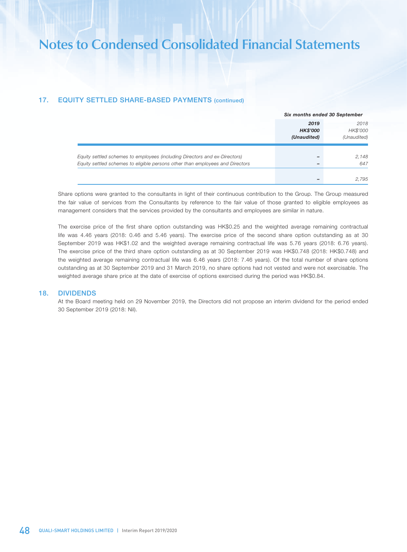## 17. EQUITY SETTLED SHARE-BASED PAYMENTS (continued)

|                                                                                                                                                             |                                        | Six months ended 30 September   |  |  |
|-------------------------------------------------------------------------------------------------------------------------------------------------------------|----------------------------------------|---------------------------------|--|--|
|                                                                                                                                                             | 2019<br><b>HK\$'000</b><br>(Unaudited) | 2018<br>HK\$'000<br>(Unaudited) |  |  |
| Equity settled schemes to employees (including Directors and ex-Directors)<br>Equity settled schemes to eligible persons other than employees and Directors |                                        | 2,148<br>647                    |  |  |
|                                                                                                                                                             |                                        | 2,795                           |  |  |

Share options were granted to the consultants in light of their continuous contribution to the Group. The Group measured the fair value of services from the Consultants by reference to the fair value of those granted to eligible employees as management considers that the services provided by the consultants and employees are similar in nature.

The exercise price of the first share option outstanding was HK\$0.25 and the weighted average remaining contractual life was 4.46 years (2018: 0.46 and 5.46 years). The exercise price of the second share option outstanding as at 30 September 2019 was HK\$1.02 and the weighted average remaining contractual life was 5.76 years (2018: 6.76 years). The exercise price of the third share option outstanding as at 30 September 2019 was HK\$0.748 (2018: HK\$0.748) and the weighted average remaining contractual life was 6.46 years (2018: 7.46 years). Of the total number of share options outstanding as at 30 September 2019 and 31 March 2019, no share options had not vested and were not exercisable. The weighted average share price at the date of exercise of options exercised during the period was HK\$0.84.

#### 18. DIVIDENDS

At the Board meeting held on 29 November 2019, the Directors did not propose an interim dividend for the period ended 30 September 2019 (2018: Nil).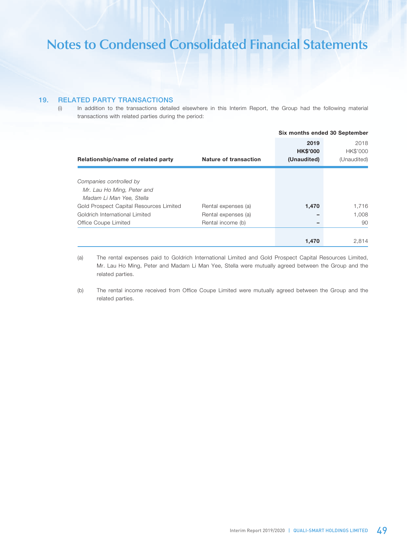## 19. RELATED PARTY TRANSACTIONS

(i) In addition to the transactions detailed elsewhere in this Interim Report, the Group had the following material transactions with related parties during the period:

|                                         |                       | Six months ended 30 September |             |
|-----------------------------------------|-----------------------|-------------------------------|-------------|
|                                         |                       | 2019                          | 2018        |
|                                         |                       | <b>HK\$'000</b>               | HK\$'000    |
| Relationship/name of related party      | Nature of transaction | (Unaudited)                   | (Unaudited) |
|                                         |                       |                               |             |
| Companies controlled by                 |                       |                               |             |
| Mr. Lau Ho Ming, Peter and              |                       |                               |             |
| Madam Li Man Yee, Stella                |                       |                               |             |
| Gold Prospect Capital Resources Limited | Rental expenses (a)   | 1,470                         | 1,716       |
| Goldrich International Limited          | Rental expenses (a)   |                               | 1.008       |
| Office Coupe Limited                    | Rental income (b)     |                               | 90          |
|                                         |                       |                               |             |
|                                         |                       | 1,470                         | 2,814       |

(a) The rental expenses paid to Goldrich International Limited and Gold Prospect Capital Resources Limited, Mr. Lau Ho Ming, Peter and Madam Li Man Yee, Stella were mutually agreed between the Group and the related parties.

(b) The rental income received from Office Coupe Limited were mutually agreed between the Group and the related parties.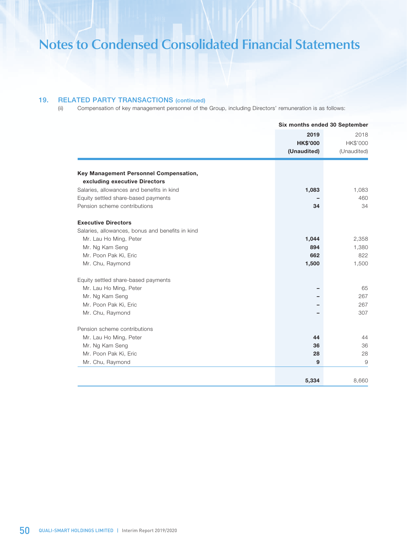## 19. RELATED PARTY TRANSACTIONS (continued)

(ii) Compensation of key management personnel of the Group, including Directors' remuneration is as follows:

|                                                  |                                        | Six months ended 30 September   |  |  |
|--------------------------------------------------|----------------------------------------|---------------------------------|--|--|
|                                                  | 2019<br><b>HK\$'000</b><br>(Unaudited) | 2018<br>HK\$'000<br>(Unaudited) |  |  |
| Key Management Personnel Compensation,           |                                        |                                 |  |  |
| excluding executive Directors                    |                                        |                                 |  |  |
| Salaries, allowances and benefits in kind        | 1,083                                  | 1,083                           |  |  |
| Equity settled share-based payments              |                                        | 460                             |  |  |
| Pension scheme contributions                     | 34                                     | 34                              |  |  |
| <b>Executive Directors</b>                       |                                        |                                 |  |  |
| Salaries, allowances, bonus and benefits in kind |                                        |                                 |  |  |
| Mr. Lau Ho Ming, Peter                           | 1,044                                  | 2,358                           |  |  |
| Mr. Ng Kam Seng                                  | 894                                    | 1,380                           |  |  |
| Mr. Poon Pak Ki, Eric                            | 662                                    | 822                             |  |  |
| Mr. Chu, Raymond                                 | 1,500                                  | 1,500                           |  |  |
| Equity settled share-based payments              |                                        |                                 |  |  |
| Mr. Lau Ho Ming, Peter                           |                                        | 65                              |  |  |
| Mr. Ng Kam Seng                                  |                                        | 267                             |  |  |
| Mr. Poon Pak Ki, Eric                            |                                        | 267                             |  |  |
| Mr. Chu, Raymond                                 |                                        | 307                             |  |  |
| Pension scheme contributions                     |                                        |                                 |  |  |
| Mr. Lau Ho Ming, Peter                           | 44                                     | 44                              |  |  |
| Mr. Ng Kam Seng                                  | 36                                     | 36                              |  |  |
| Mr. Poon Pak Ki, Eric                            | 28                                     | 28                              |  |  |
| Mr. Chu, Raymond                                 | 9                                      | 9                               |  |  |
|                                                  |                                        |                                 |  |  |
|                                                  | 5,334                                  | 8,660                           |  |  |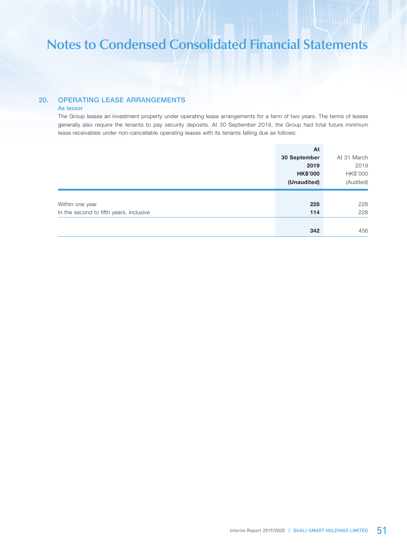## 20. OPERATING LEASE ARRANGEMENTS

### As lessor

The Group leases an investment property under operating lease arrangements for a term of two years. The terms of leases generally also require the tenants to pay security deposits. At 30 September 2019, the Group had total future minimum lease receivables under non-cancellable operating leases with its tenants falling due as follows:

|                                         | At              |             |
|-----------------------------------------|-----------------|-------------|
|                                         | 30 September    | At 31 March |
|                                         | 2019            | 2019        |
|                                         | <b>HK\$'000</b> | HK\$'000    |
|                                         | (Unaudited)     | (Audited)   |
|                                         |                 |             |
| Within one year                         | 228             | 228         |
| In the second to fifth years, inclusive | 114             | 228         |
|                                         |                 |             |
|                                         | 342             | 456         |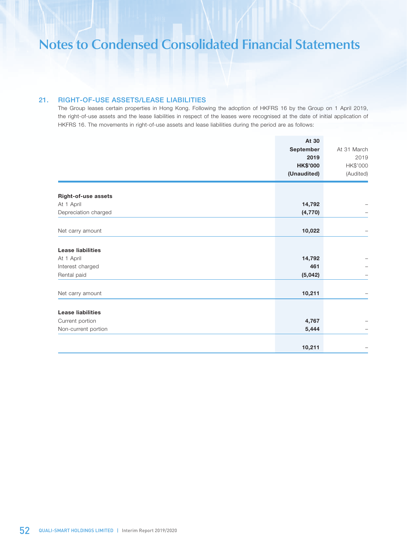## 21. RIGHT-OF-USE ASSETS/LEASE LIABILITIES

The Group leases certain properties in Hong Kong. Following the adoption of HKFRS 16 by the Group on 1 April 2019, the right-of-use assets and the lease liabilities in respect of the leases were recognised at the date of initial application of HKFRS 16. The movements in right-of-use assets and lease liabilities during the period are as follows:

|                                    | At 30              |             |
|------------------------------------|--------------------|-------------|
|                                    | September          | At 31 March |
|                                    | 2019               | 2019        |
|                                    | <b>HK\$'000</b>    | HK\$'000    |
|                                    | (Unaudited)        | (Audited)   |
|                                    |                    |             |
| Right-of-use assets                |                    |             |
| At 1 April<br>Depreciation charged | 14,792<br>(4, 770) |             |
|                                    |                    |             |
| Net carry amount                   | 10,022             |             |
|                                    |                    |             |
| <b>Lease liabilities</b>           |                    |             |
| At 1 April                         | 14,792             |             |
| Interest charged                   | 461                |             |
| Rental paid                        | (5,042)            |             |
|                                    |                    |             |
| Net carry amount                   | 10,211             |             |
|                                    |                    |             |
| <b>Lease liabilities</b>           |                    |             |
| Current portion                    | 4,767              |             |
| Non-current portion                | 5,444              |             |
|                                    |                    |             |
|                                    | 10,211             |             |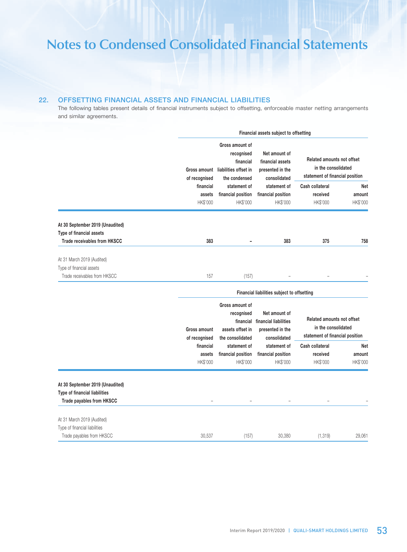## 22. OFFSETTING FINANCIAL ASSETS AND FINANCIAL LIABILITIES

The following tables present details of financial instruments subject to offsetting, enforceable master netting arrangements and similar agreements.

|                                                                   |                                 | Financial assets subject to offsetting                                               |                                                                            |                                                                                             |                           |  |
|-------------------------------------------------------------------|---------------------------------|--------------------------------------------------------------------------------------|----------------------------------------------------------------------------|---------------------------------------------------------------------------------------------|---------------------------|--|
|                                                                   | Gross amount<br>of recognised   | Gross amount of<br>recognised<br>financial<br>liabilities offset in<br>the condensed | Net amount of<br>financial assets<br>presented in the<br>consolidated      | <b>Related amounts not offset</b><br>in the consolidated<br>statement of financial position |                           |  |
|                                                                   | financial<br>assets             | statement of<br>financial position                                                   | statement of<br>financial position                                         | Cash collateral<br>received                                                                 | <b>Net</b><br>amount      |  |
|                                                                   | HK\$'000                        | HK\$'000                                                                             | HK\$'000                                                                   | HK\$'000                                                                                    | HK\$'000                  |  |
| At 30 September 2019 (Unaudited)<br>Type of financial assets      |                                 |                                                                                      |                                                                            |                                                                                             |                           |  |
| <b>Trade receivables from HKSCC</b>                               | 383                             | $\overline{a}$                                                                       | 383                                                                        | 375                                                                                         | 758                       |  |
| At 31 March 2019 (Audited)<br>Type of financial assets            |                                 |                                                                                      |                                                                            |                                                                                             |                           |  |
| Trade receivables from HKSCC                                      | 157                             | (157)                                                                                |                                                                            |                                                                                             |                           |  |
|                                                                   |                                 |                                                                                      | Financial liabilities subject to offsetting                                |                                                                                             |                           |  |
|                                                                   | Gross amount<br>of recognised   | Gross amount of<br>recognised<br>financial<br>assets offset in<br>the consolidated   | Net amount of<br>financial liabilities<br>presented in the<br>consolidated | <b>Related amounts not offset</b><br>in the consolidated<br>statement of financial position |                           |  |
|                                                                   | financial<br>assets<br>HK\$'000 | statement of<br>financial position<br>HK\$'000                                       | statement of<br>financial position<br>HK\$'000                             | Cash collateral<br>received<br>HK\$'000                                                     | Net<br>amount<br>HK\$'000 |  |
| At 30 September 2019 (Unaudited)<br>Type of financial liabilities |                                 |                                                                                      |                                                                            |                                                                                             |                           |  |
| Trade payables from HKSCC                                         |                                 |                                                                                      |                                                                            |                                                                                             |                           |  |
| At 31 March 2019 (Audited)                                        |                                 |                                                                                      |                                                                            |                                                                                             |                           |  |
| Type of financial liabilities                                     |                                 |                                                                                      |                                                                            |                                                                                             |                           |  |
| Trade payables from HKSCC                                         | 30,537                          | (157)                                                                                | 30,380                                                                     | (1, 319)                                                                                    | 29,061                    |  |